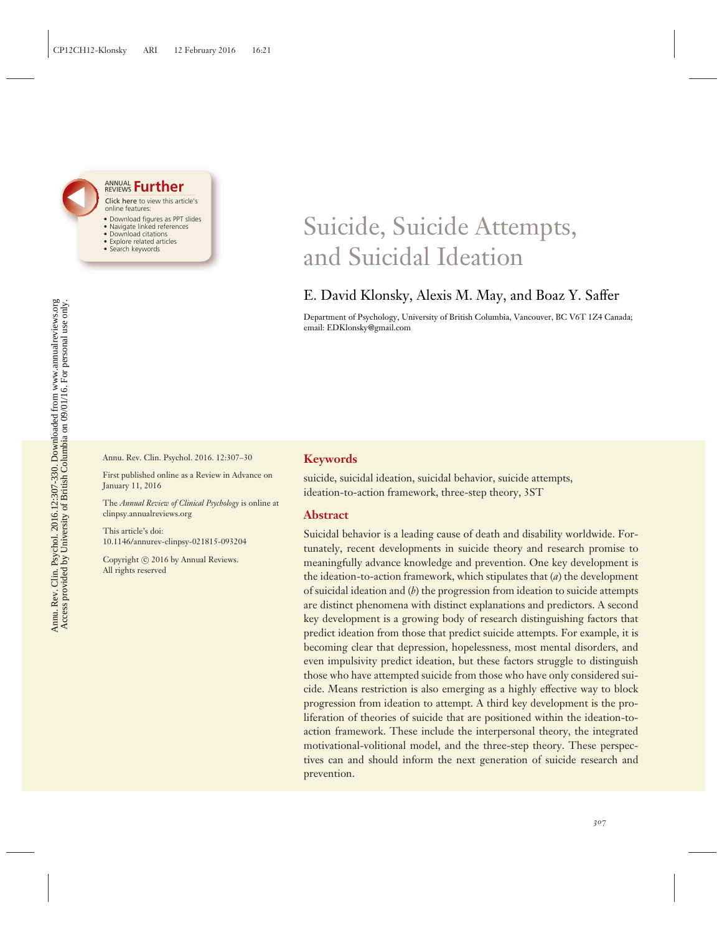Click here to view this article's online features: • Download figures as PPT slides

ANNUAL REVIEWS **[Further](http://www.annualreviews.org/doi/full/10.1146/annurev-clinpsy-021815-093204)**

- Navigate linked references
- Download citations
- Explore related articles
- Search keywords

## Suicide, Suicide Attempts, and Suicidal Ideation

### E. David Klonsky, Alexis M. May, and Boaz Y. Saffer

Department of Psychology, University of British Columbia, Vancouver, BC V6T 1Z4 Canada; email: EDKlonsky@gmail.com

Annu. Rev. Clin. Psychol. 2016. 12:307–30

First published online as a Review in Advance on January 11, 2016

The *Annual Review of Clinical Psychology* is online at clinpsy.annualreviews.org

This article's doi: 10.1146/annurev-clinpsy-021815-093204

Copyright © 2016 by Annual Reviews. All rights reserved

#### **Keywords**

suicide, suicidal ideation, suicidal behavior, suicide attempts, ideation-to-action framework, three-step theory, 3ST

#### **Abstract**

Suicidal behavior is a leading cause of death and disability worldwide. Fortunately, recent developments in suicide theory and research promise to meaningfully advance knowledge and prevention. One key development is the ideation-to-action framework, which stipulates that (*a*) the development of suicidal ideation and (*b*) the progression from ideation to suicide attempts are distinct phenomena with distinct explanations and predictors. A second key development is a growing body of research distinguishing factors that predict ideation from those that predict suicide attempts. For example, it is becoming clear that depression, hopelessness, most mental disorders, and even impulsivity predict ideation, but these factors struggle to distinguish those who have attempted suicide from those who have only considered suicide. Means restriction is also emerging as a highly effective way to block progression from ideation to attempt. A third key development is the proliferation of theories of suicide that are positioned within the ideation-toaction framework. These include the interpersonal theory, the integrated motivational-volitional model, and the three-step theory. These perspectives can and should inform the next generation of suicide research and prevention.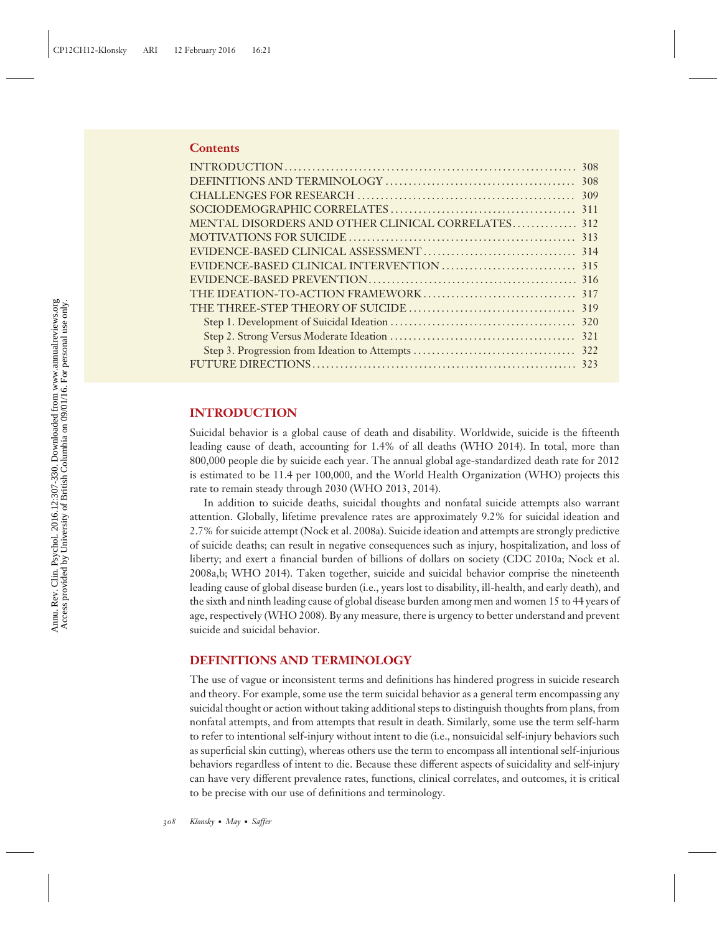| 309                                                |
|----------------------------------------------------|
| 311                                                |
| MENTAL DISORDERS AND OTHER CLINICAL CORRELATES 312 |
| 313                                                |
| 314                                                |
|                                                    |
|                                                    |
|                                                    |
|                                                    |
|                                                    |
|                                                    |
|                                                    |
|                                                    |

#### **INTRODUCTION**

Suicidal behavior is a global cause of death and disability. Worldwide, suicide is the fifteenth leading cause of death, accounting for 1.4% of all deaths (WHO 2014). In total, more than 800,000 people die by suicide each year. The annual global age-standardized death rate for 2012 is estimated to be 11.4 per 100,000, and the World Health Organization (WHO) projects this rate to remain steady through 2030 (WHO 2013, 2014).

In addition to suicide deaths, suicidal thoughts and nonfatal suicide attempts also warrant attention. Globally, lifetime prevalence rates are approximately 9.2% for suicidal ideation and 2.7% for suicide attempt (Nock et al. 2008a). Suicide ideation and attempts are strongly predictive of suicide deaths; can result in negative consequences such as injury, hospitalization, and loss of liberty; and exert a financial burden of billions of dollars on society (CDC 2010a; Nock et al. 2008a,b; WHO 2014). Taken together, suicide and suicidal behavior comprise the nineteenth leading cause of global disease burden (i.e., years lost to disability, ill-health, and early death), and the sixth and ninth leading cause of global disease burden among men and women 15 to 44 years of age, respectively (WHO 2008). By any measure, there is urgency to better understand and prevent suicide and suicidal behavior.

#### **DEFINITIONS AND TERMINOLOGY**

The use of vague or inconsistent terms and definitions has hindered progress in suicide research and theory. For example, some use the term suicidal behavior as a general term encompassing any suicidal thought or action without taking additional steps to distinguish thoughts from plans, from nonfatal attempts, and from attempts that result in death. Similarly, some use the term self-harm to refer to intentional self-injury without intent to die (i.e., nonsuicidal self-injury behaviors such as superficial skin cutting), whereas others use the term to encompass all intentional self-injurious behaviors regardless of intent to die. Because these different aspects of suicidality and self-injury can have very different prevalence rates, functions, clinical correlates, and outcomes, it is critical to be precise with our use of definitions and terminology.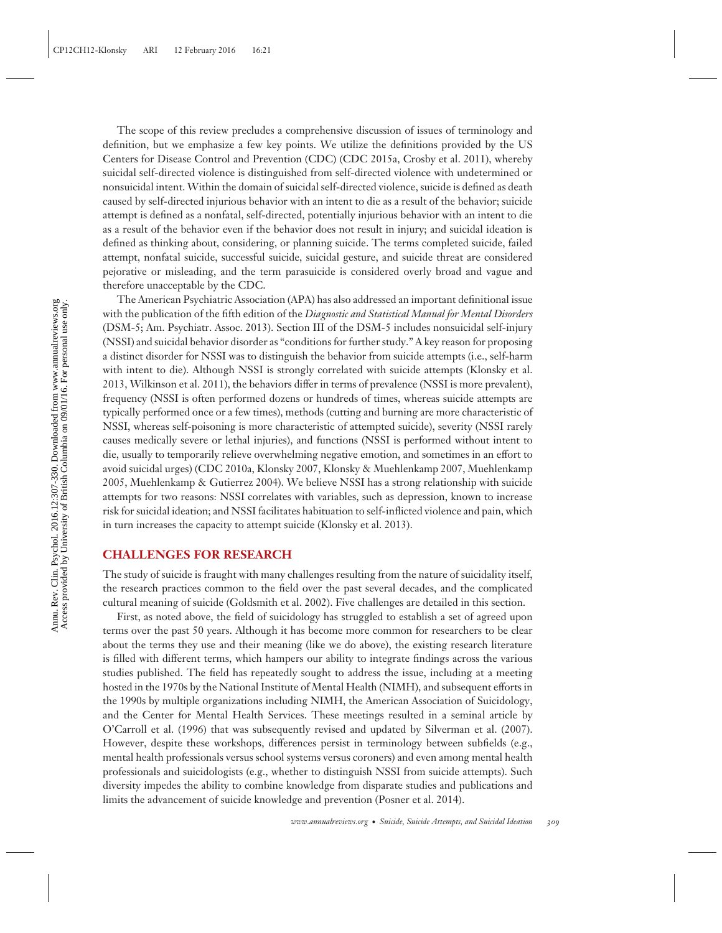The scope of this review precludes a comprehensive discussion of issues of terminology and definition, but we emphasize a few key points. We utilize the definitions provided by the US Centers for Disease Control and Prevention (CDC) (CDC 2015a, Crosby et al. 2011), whereby suicidal self-directed violence is distinguished from self-directed violence with undetermined or nonsuicidal intent. Within the domain of suicidal self-directed violence, suicide is defined as death caused by self-directed injurious behavior with an intent to die as a result of the behavior; suicide attempt is defined as a nonfatal, self-directed, potentially injurious behavior with an intent to die as a result of the behavior even if the behavior does not result in injury; and suicidal ideation is defined as thinking about, considering, or planning suicide. The terms completed suicide, failed attempt, nonfatal suicide, successful suicide, suicidal gesture, and suicide threat are considered pejorative or misleading, and the term parasuicide is considered overly broad and vague and therefore unacceptable by the CDC.

The American Psychiatric Association (APA) has also addressed an important definitional issue with the publication of the fifth edition of the *Diagnostic and Statistical Manual for Mental Disorders* (DSM-5; Am. Psychiatr. Assoc. 2013). Section III of the DSM-5 includes nonsuicidal self-injury (NSSI) and suicidal behavior disorder as "conditions for further study." A key reason for proposing a distinct disorder for NSSI was to distinguish the behavior from suicide attempts (i.e., self-harm with intent to die). Although NSSI is strongly correlated with suicide attempts (Klonsky et al. 2013, Wilkinson et al. 2011), the behaviors differ in terms of prevalence (NSSI is more prevalent), frequency (NSSI is often performed dozens or hundreds of times, whereas suicide attempts are typically performed once or a few times), methods (cutting and burning are more characteristic of NSSI, whereas self-poisoning is more characteristic of attempted suicide), severity (NSSI rarely causes medically severe or lethal injuries), and functions (NSSI is performed without intent to die, usually to temporarily relieve overwhelming negative emotion, and sometimes in an effort to avoid suicidal urges) (CDC 2010a, Klonsky 2007, Klonsky & Muehlenkamp 2007, Muehlenkamp 2005, Muehlenkamp & Gutierrez 2004). We believe NSSI has a strong relationship with suicide attempts for two reasons: NSSI correlates with variables, such as depression, known to increase risk for suicidal ideation; and NSSI facilitates habituation to self-inflicted violence and pain, which in turn increases the capacity to attempt suicide (Klonsky et al. 2013).

#### **CHALLENGES FOR RESEARCH**

The study of suicide is fraught with many challenges resulting from the nature of suicidality itself, the research practices common to the field over the past several decades, and the complicated cultural meaning of suicide (Goldsmith et al. 2002). Five challenges are detailed in this section.

First, as noted above, the field of suicidology has struggled to establish a set of agreed upon terms over the past 50 years. Although it has become more common for researchers to be clear about the terms they use and their meaning (like we do above), the existing research literature is filled with different terms, which hampers our ability to integrate findings across the various studies published. The field has repeatedly sought to address the issue, including at a meeting hosted in the 1970s by the National Institute of Mental Health (NIMH), and subsequent efforts in the 1990s by multiple organizations including NIMH, the American Association of Suicidology, and the Center for Mental Health Services. These meetings resulted in a seminal article by O'Carroll et al. (1996) that was subsequently revised and updated by Silverman et al. (2007). However, despite these workshops, differences persist in terminology between subfields (e.g., mental health professionals versus school systems versus coroners) and even among mental health professionals and suicidologists (e.g., whether to distinguish NSSI from suicide attempts). Such diversity impedes the ability to combine knowledge from disparate studies and publications and limits the advancement of suicide knowledge and prevention (Posner et al. 2014).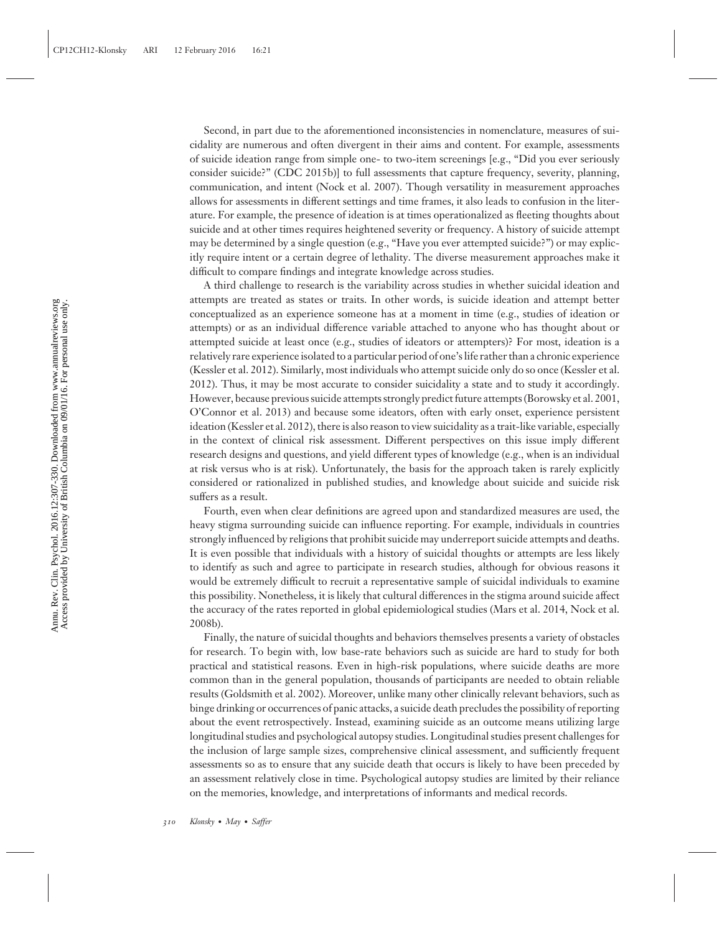Second, in part due to the aforementioned inconsistencies in nomenclature, measures of suicidality are numerous and often divergent in their aims and content. For example, assessments of suicide ideation range from simple one- to two-item screenings [e.g., "Did you ever seriously consider suicide?" (CDC 2015b)] to full assessments that capture frequency, severity, planning, communication, and intent (Nock et al. 2007). Though versatility in measurement approaches allows for assessments in different settings and time frames, it also leads to confusion in the literature. For example, the presence of ideation is at times operationalized as fleeting thoughts about suicide and at other times requires heightened severity or frequency. A history of suicide attempt may be determined by a single question (e.g., "Have you ever attempted suicide?") or may explicitly require intent or a certain degree of lethality. The diverse measurement approaches make it difficult to compare findings and integrate knowledge across studies.

A third challenge to research is the variability across studies in whether suicidal ideation and attempts are treated as states or traits. In other words, is suicide ideation and attempt better conceptualized as an experience someone has at a moment in time (e.g., studies of ideation or attempts) or as an individual difference variable attached to anyone who has thought about or attempted suicide at least once (e.g., studies of ideators or attempters)? For most, ideation is a relatively rare experience isolated to a particular period of one's life rather than a chronic experience (Kessler et al. 2012). Similarly, most individuals who attempt suicide only do so once (Kessler et al. 2012). Thus, it may be most accurate to consider suicidality a state and to study it accordingly. However, because previous suicide attempts strongly predict future attempts (Borowsky et al. 2001, O'Connor et al. 2013) and because some ideators, often with early onset, experience persistent ideation (Kessler et al. 2012), there is also reason to view suicidality as a trait-like variable, especially in the context of clinical risk assessment. Different perspectives on this issue imply different research designs and questions, and yield different types of knowledge (e.g., when is an individual at risk versus who is at risk). Unfortunately, the basis for the approach taken is rarely explicitly considered or rationalized in published studies, and knowledge about suicide and suicide risk suffers as a result.

Fourth, even when clear definitions are agreed upon and standardized measures are used, the heavy stigma surrounding suicide can influence reporting. For example, individuals in countries strongly influenced by religions that prohibit suicide may underreport suicide attempts and deaths. It is even possible that individuals with a history of suicidal thoughts or attempts are less likely to identify as such and agree to participate in research studies, although for obvious reasons it would be extremely difficult to recruit a representative sample of suicidal individuals to examine this possibility. Nonetheless, it is likely that cultural differences in the stigma around suicide affect the accuracy of the rates reported in global epidemiological studies (Mars et al. 2014, Nock et al. 2008b).

Finally, the nature of suicidal thoughts and behaviors themselves presents a variety of obstacles for research. To begin with, low base-rate behaviors such as suicide are hard to study for both practical and statistical reasons. Even in high-risk populations, where suicide deaths are more common than in the general population, thousands of participants are needed to obtain reliable results (Goldsmith et al. 2002). Moreover, unlike many other clinically relevant behaviors, such as binge drinking or occurrences of panic attacks, a suicide death precludes the possibility of reporting about the event retrospectively. Instead, examining suicide as an outcome means utilizing large longitudinal studies and psychological autopsy studies. Longitudinal studies present challenges for the inclusion of large sample sizes, comprehensive clinical assessment, and sufficiently frequent assessments so as to ensure that any suicide death that occurs is likely to have been preceded by an assessment relatively close in time. Psychological autopsy studies are limited by their reliance on the memories, knowledge, and interpretations of informants and medical records.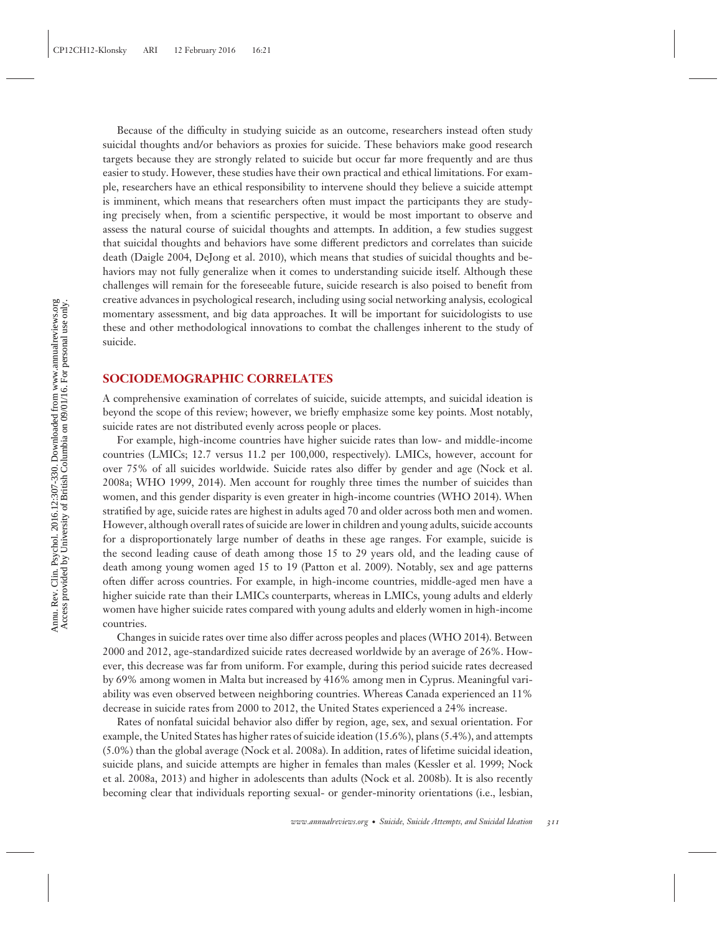Because of the difficulty in studying suicide as an outcome, researchers instead often study suicidal thoughts and/or behaviors as proxies for suicide. These behaviors make good research targets because they are strongly related to suicide but occur far more frequently and are thus easier to study. However, these studies have their own practical and ethical limitations. For example, researchers have an ethical responsibility to intervene should they believe a suicide attempt is imminent, which means that researchers often must impact the participants they are studying precisely when, from a scientific perspective, it would be most important to observe and assess the natural course of suicidal thoughts and attempts. In addition, a few studies suggest that suicidal thoughts and behaviors have some different predictors and correlates than suicide death (Daigle 2004, DeJong et al. 2010), which means that studies of suicidal thoughts and behaviors may not fully generalize when it comes to understanding suicide itself. Although these challenges will remain for the foreseeable future, suicide research is also poised to benefit from creative advances in psychological research, including using social networking analysis, ecological momentary assessment, and big data approaches. It will be important for suicidologists to use these and other methodological innovations to combat the challenges inherent to the study of suicide.

#### **SOCIODEMOGRAPHIC CORRELATES**

A comprehensive examination of correlates of suicide, suicide attempts, and suicidal ideation is beyond the scope of this review; however, we briefly emphasize some key points. Most notably, suicide rates are not distributed evenly across people or places.

For example, high-income countries have higher suicide rates than low- and middle-income countries (LMICs; 12.7 versus 11.2 per 100,000, respectively). LMICs, however, account for over 75% of all suicides worldwide. Suicide rates also differ by gender and age (Nock et al. 2008a; WHO 1999, 2014). Men account for roughly three times the number of suicides than women, and this gender disparity is even greater in high-income countries (WHO 2014). When stratified by age, suicide rates are highest in adults aged 70 and older across both men and women. However, although overall rates of suicide are lower in children and young adults, suicide accounts for a disproportionately large number of deaths in these age ranges. For example, suicide is the second leading cause of death among those 15 to 29 years old, and the leading cause of death among young women aged 15 to 19 (Patton et al. 2009). Notably, sex and age patterns often differ across countries. For example, in high-income countries, middle-aged men have a higher suicide rate than their LMICs counterparts, whereas in LMICs, young adults and elderly women have higher suicide rates compared with young adults and elderly women in high-income countries.

Changes in suicide rates over time also differ across peoples and places (WHO 2014). Between 2000 and 2012, age-standardized suicide rates decreased worldwide by an average of 26%. However, this decrease was far from uniform. For example, during this period suicide rates decreased by 69% among women in Malta but increased by 416% among men in Cyprus. Meaningful variability was even observed between neighboring countries. Whereas Canada experienced an 11% decrease in suicide rates from 2000 to 2012, the United States experienced a 24% increase.

Rates of nonfatal suicidal behavior also differ by region, age, sex, and sexual orientation. For example, the United States has higher rates of suicide ideation (15.6%), plans (5.4%), and attempts (5.0%) than the global average (Nock et al. 2008a). In addition, rates of lifetime suicidal ideation, suicide plans, and suicide attempts are higher in females than males (Kessler et al. 1999; Nock et al. 2008a, 2013) and higher in adolescents than adults (Nock et al. 2008b). It is also recently becoming clear that individuals reporting sexual- or gender-minority orientations (i.e., lesbian,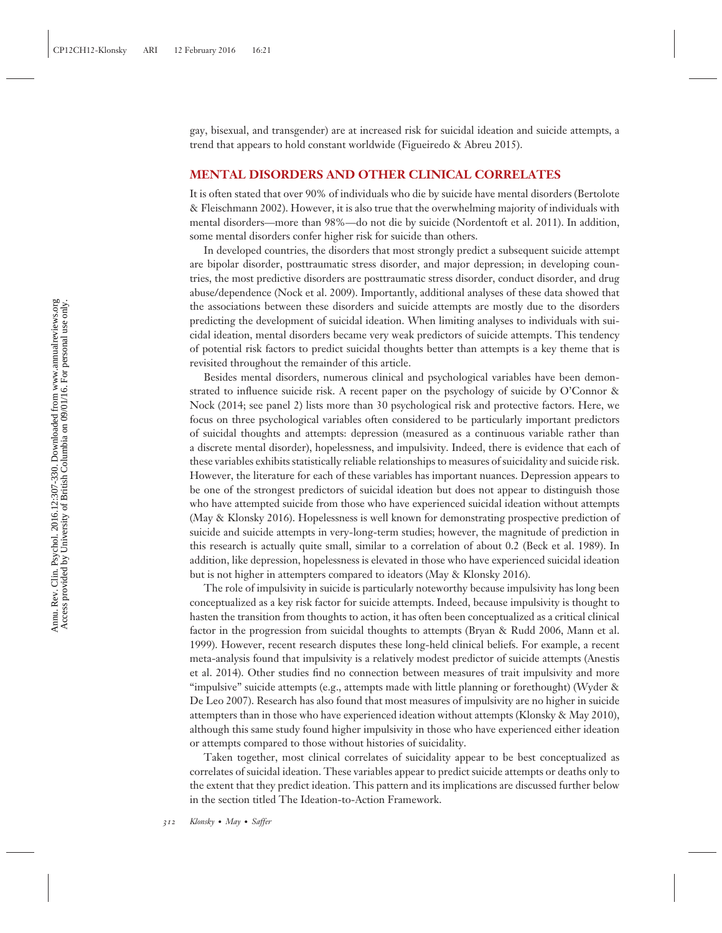gay, bisexual, and transgender) are at increased risk for suicidal ideation and suicide attempts, a trend that appears to hold constant worldwide (Figueiredo & Abreu 2015).

#### **MENTAL DISORDERS AND OTHER CLINICAL CORRELATES**

It is often stated that over 90% of individuals who die by suicide have mental disorders (Bertolote & Fleischmann 2002). However, it is also true that the overwhelming majority of individuals with mental disorders—more than 98%—do not die by suicide (Nordentoft et al. 2011). In addition, some mental disorders confer higher risk for suicide than others.

In developed countries, the disorders that most strongly predict a subsequent suicide attempt are bipolar disorder, posttraumatic stress disorder, and major depression; in developing countries, the most predictive disorders are posttraumatic stress disorder, conduct disorder, and drug abuse/dependence (Nock et al. 2009). Importantly, additional analyses of these data showed that the associations between these disorders and suicide attempts are mostly due to the disorders predicting the development of suicidal ideation. When limiting analyses to individuals with suicidal ideation, mental disorders became very weak predictors of suicide attempts. This tendency of potential risk factors to predict suicidal thoughts better than attempts is a key theme that is revisited throughout the remainder of this article.

Besides mental disorders, numerous clinical and psychological variables have been demonstrated to influence suicide risk. A recent paper on the psychology of suicide by O'Connor & Nock (2014; see panel 2) lists more than 30 psychological risk and protective factors. Here, we focus on three psychological variables often considered to be particularly important predictors of suicidal thoughts and attempts: depression (measured as a continuous variable rather than a discrete mental disorder), hopelessness, and impulsivity. Indeed, there is evidence that each of these variables exhibits statistically reliable relationships to measures of suicidality and suicide risk. However, the literature for each of these variables has important nuances. Depression appears to be one of the strongest predictors of suicidal ideation but does not appear to distinguish those who have attempted suicide from those who have experienced suicidal ideation without attempts (May & Klonsky 2016). Hopelessness is well known for demonstrating prospective prediction of suicide and suicide attempts in very-long-term studies; however, the magnitude of prediction in this research is actually quite small, similar to a correlation of about 0.2 (Beck et al. 1989). In addition, like depression, hopelessness is elevated in those who have experienced suicidal ideation but is not higher in attempters compared to ideators (May & Klonsky 2016).

The role of impulsivity in suicide is particularly noteworthy because impulsivity has long been conceptualized as a key risk factor for suicide attempts. Indeed, because impulsivity is thought to hasten the transition from thoughts to action, it has often been conceptualized as a critical clinical factor in the progression from suicidal thoughts to attempts (Bryan & Rudd 2006, Mann et al. 1999). However, recent research disputes these long-held clinical beliefs. For example, a recent meta-analysis found that impulsivity is a relatively modest predictor of suicide attempts (Anestis et al. 2014). Other studies find no connection between measures of trait impulsivity and more "impulsive" suicide attempts (e.g., attempts made with little planning or forethought) (Wyder & De Leo 2007). Research has also found that most measures of impulsivity are no higher in suicide attempters than in those who have experienced ideation without attempts (Klonsky & May 2010), although this same study found higher impulsivity in those who have experienced either ideation or attempts compared to those without histories of suicidality.

Taken together, most clinical correlates of suicidality appear to be best conceptualized as correlates of suicidal ideation. These variables appear to predict suicide attempts or deaths only to the extent that they predict ideation. This pattern and its implications are discussed further below in the section titled The Ideation-to-Action Framework.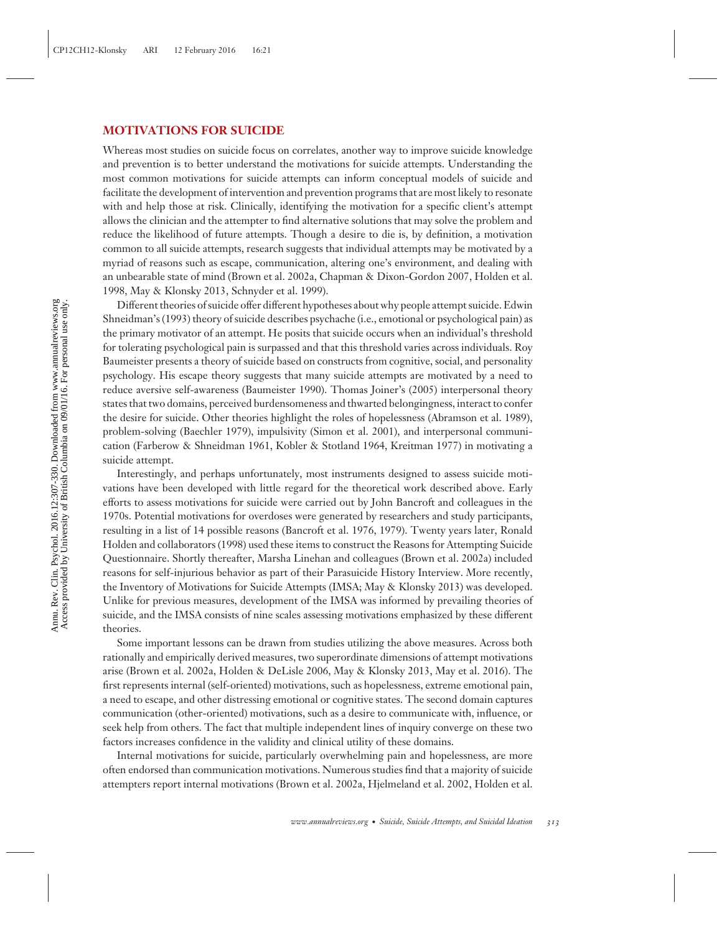#### **MOTIVATIONS FOR SUICIDE**

Whereas most studies on suicide focus on correlates, another way to improve suicide knowledge and prevention is to better understand the motivations for suicide attempts. Understanding the most common motivations for suicide attempts can inform conceptual models of suicide and facilitate the development of intervention and prevention programs that are most likely to resonate with and help those at risk. Clinically, identifying the motivation for a specific client's attempt allows the clinician and the attempter to find alternative solutions that may solve the problem and reduce the likelihood of future attempts. Though a desire to die is, by definition, a motivation common to all suicide attempts, research suggests that individual attempts may be motivated by a myriad of reasons such as escape, communication, altering one's environment, and dealing with an unbearable state of mind (Brown et al. 2002a, Chapman & Dixon-Gordon 2007, Holden et al. 1998, May & Klonsky 2013, Schnyder et al. 1999).

Different theories of suicide offer different hypotheses about why people attempt suicide. Edwin Shneidman's (1993) theory of suicide describes psychache (i.e., emotional or psychological pain) as the primary motivator of an attempt. He posits that suicide occurs when an individual's threshold for tolerating psychological pain is surpassed and that this threshold varies across individuals. Roy Baumeister presents a theory of suicide based on constructs from cognitive, social, and personality psychology. His escape theory suggests that many suicide attempts are motivated by a need to reduce aversive self-awareness (Baumeister 1990). Thomas Joiner's (2005) interpersonal theory states that two domains, perceived burdensomeness and thwarted belongingness, interact to confer the desire for suicide. Other theories highlight the roles of hopelessness (Abramson et al. 1989), problem-solving (Baechler 1979), impulsivity (Simon et al. 2001), and interpersonal communication (Farberow & Shneidman 1961, Kobler & Stotland 1964, Kreitman 1977) in motivating a suicide attempt.

Interestingly, and perhaps unfortunately, most instruments designed to assess suicide motivations have been developed with little regard for the theoretical work described above. Early efforts to assess motivations for suicide were carried out by John Bancroft and colleagues in the 1970s. Potential motivations for overdoses were generated by researchers and study participants, resulting in a list of 14 possible reasons (Bancroft et al. 1976, 1979). Twenty years later, Ronald Holden and collaborators (1998) used these items to construct the Reasons for Attempting Suicide Questionnaire. Shortly thereafter, Marsha Linehan and colleagues (Brown et al. 2002a) included reasons for self-injurious behavior as part of their Parasuicide History Interview. More recently, the Inventory of Motivations for Suicide Attempts (IMSA; May & Klonsky 2013) was developed. Unlike for previous measures, development of the IMSA was informed by prevailing theories of suicide, and the IMSA consists of nine scales assessing motivations emphasized by these different theories.

Some important lessons can be drawn from studies utilizing the above measures. Across both rationally and empirically derived measures, two superordinate dimensions of attempt motivations arise (Brown et al. 2002a, Holden & DeLisle 2006, May & Klonsky 2013, May et al. 2016). The first represents internal (self-oriented) motivations, such as hopelessness, extreme emotional pain, a need to escape, and other distressing emotional or cognitive states. The second domain captures communication (other-oriented) motivations, such as a desire to communicate with, influence, or seek help from others. The fact that multiple independent lines of inquiry converge on these two factors increases confidence in the validity and clinical utility of these domains.

Internal motivations for suicide, particularly overwhelming pain and hopelessness, are more often endorsed than communication motivations. Numerous studies find that a majority of suicide attempters report internal motivations (Brown et al. 2002a, Hjelmeland et al. 2002, Holden et al.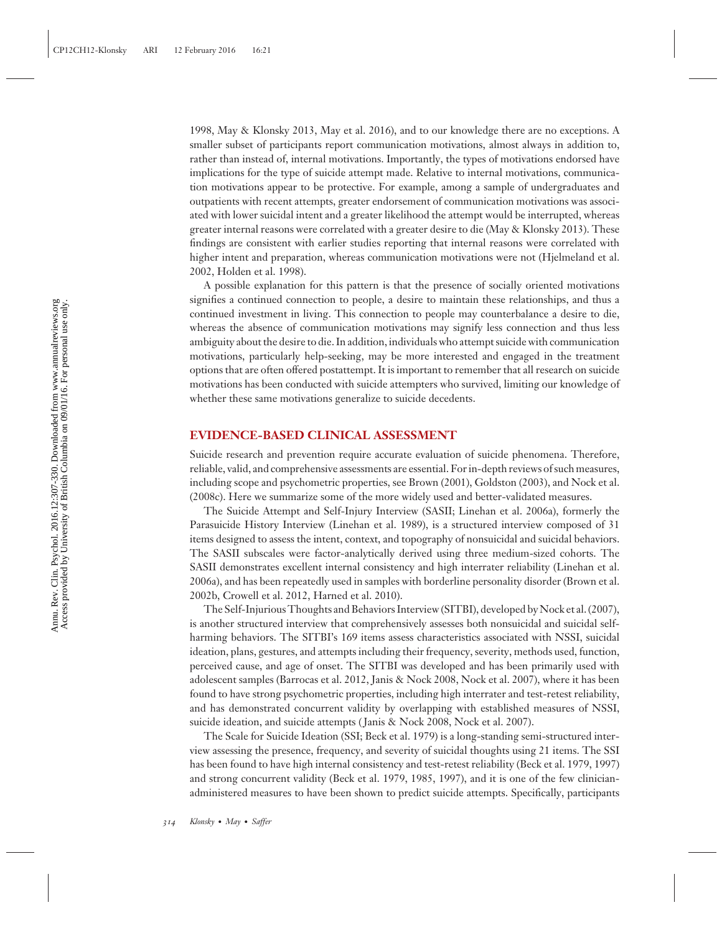1998, May & Klonsky 2013, May et al. 2016), and to our knowledge there are no exceptions. A smaller subset of participants report communication motivations, almost always in addition to, rather than instead of, internal motivations. Importantly, the types of motivations endorsed have implications for the type of suicide attempt made. Relative to internal motivations, communication motivations appear to be protective. For example, among a sample of undergraduates and outpatients with recent attempts, greater endorsement of communication motivations was associated with lower suicidal intent and a greater likelihood the attempt would be interrupted, whereas greater internal reasons were correlated with a greater desire to die (May & Klonsky 2013). These findings are consistent with earlier studies reporting that internal reasons were correlated with higher intent and preparation, whereas communication motivations were not (Hjelmeland et al. 2002, Holden et al. 1998).

A possible explanation for this pattern is that the presence of socially oriented motivations signifies a continued connection to people, a desire to maintain these relationships, and thus a continued investment in living. This connection to people may counterbalance a desire to die, whereas the absence of communication motivations may signify less connection and thus less ambiguity about the desire to die. In addition, individuals who attempt suicide with communication motivations, particularly help-seeking, may be more interested and engaged in the treatment options that are often offered postattempt. It is important to remember that all research on suicide motivations has been conducted with suicide attempters who survived, limiting our knowledge of whether these same motivations generalize to suicide decedents.

#### **EVIDENCE-BASED CLINICAL ASSESSMENT**

Suicide research and prevention require accurate evaluation of suicide phenomena. Therefore, reliable, valid, and comprehensive assessments are essential. For in-depth reviews of such measures, including scope and psychometric properties, see Brown (2001), Goldston (2003), and Nock et al. (2008c). Here we summarize some of the more widely used and better-validated measures.

The Suicide Attempt and Self-Injury Interview (SASII; Linehan et al. 2006a), formerly the Parasuicide History Interview (Linehan et al. 1989), is a structured interview composed of 31 items designed to assess the intent, context, and topography of nonsuicidal and suicidal behaviors. The SASII subscales were factor-analytically derived using three medium-sized cohorts. The SASII demonstrates excellent internal consistency and high interrater reliability (Linehan et al. 2006a), and has been repeatedly used in samples with borderline personality disorder (Brown et al. 2002b, Crowell et al. 2012, Harned et al. 2010).

The Self-Injurious Thoughts and Behaviors Interview (SITBI), developed by Nock et al. (2007), is another structured interview that comprehensively assesses both nonsuicidal and suicidal selfharming behaviors. The SITBI's 169 items assess characteristics associated with NSSI, suicidal ideation, plans, gestures, and attempts including their frequency, severity, methods used, function, perceived cause, and age of onset. The SITBI was developed and has been primarily used with adolescent samples (Barrocas et al. 2012, Janis & Nock 2008, Nock et al. 2007), where it has been found to have strong psychometric properties, including high interrater and test-retest reliability, and has demonstrated concurrent validity by overlapping with established measures of NSSI, suicide ideation, and suicide attempts ( Janis & Nock 2008, Nock et al. 2007).

The Scale for Suicide Ideation (SSI; Beck et al. 1979) is a long-standing semi-structured interview assessing the presence, frequency, and severity of suicidal thoughts using 21 items. The SSI has been found to have high internal consistency and test-retest reliability (Beck et al. 1979, 1997) and strong concurrent validity (Beck et al. 1979, 1985, 1997), and it is one of the few clinicianadministered measures to have been shown to predict suicide attempts. Specifically, participants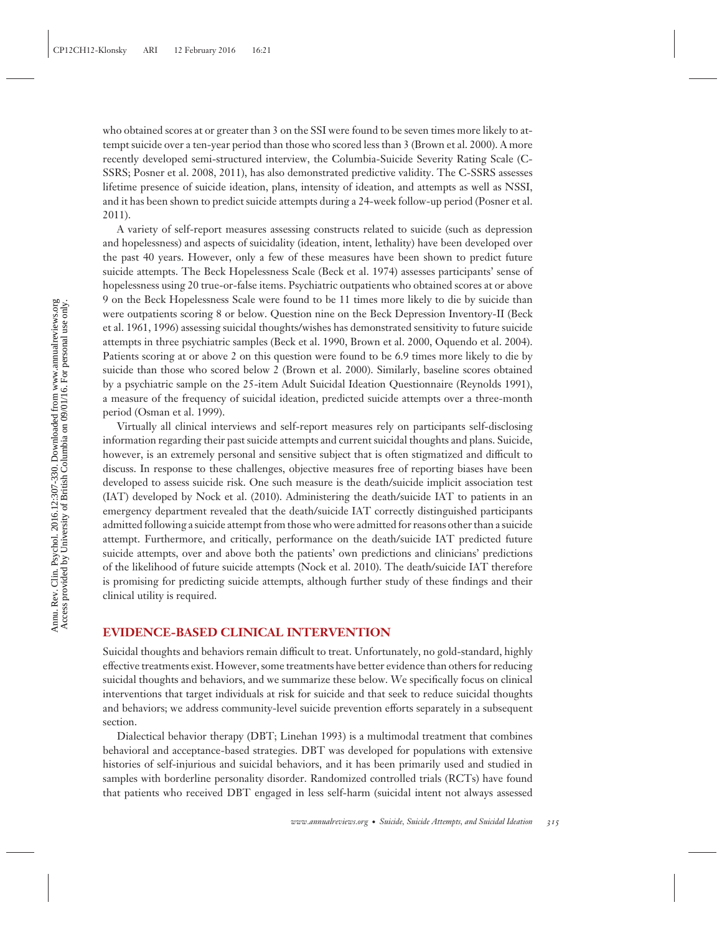who obtained scores at or greater than 3 on the SSI were found to be seven times more likely to attempt suicide over a ten-year period than those who scored less than 3 (Brown et al. 2000). A more recently developed semi-structured interview, the Columbia-Suicide Severity Rating Scale (C-SSRS; Posner et al. 2008, 2011), has also demonstrated predictive validity. The C-SSRS assesses lifetime presence of suicide ideation, plans, intensity of ideation, and attempts as well as NSSI, and it has been shown to predict suicide attempts during a 24-week follow-up period (Posner et al. 2011).

A variety of self-report measures assessing constructs related to suicide (such as depression and hopelessness) and aspects of suicidality (ideation, intent, lethality) have been developed over the past 40 years. However, only a few of these measures have been shown to predict future suicide attempts. The Beck Hopelessness Scale (Beck et al. 1974) assesses participants' sense of hopelessness using 20 true-or-false items. Psychiatric outpatients who obtained scores at or above 9 on the Beck Hopelessness Scale were found to be 11 times more likely to die by suicide than were outpatients scoring 8 or below. Question nine on the Beck Depression Inventory-II (Beck et al. 1961, 1996) assessing suicidal thoughts/wishes has demonstrated sensitivity to future suicide attempts in three psychiatric samples (Beck et al. 1990, Brown et al. 2000, Oquendo et al. 2004). Patients scoring at or above 2 on this question were found to be 6.9 times more likely to die by suicide than those who scored below 2 (Brown et al. 2000). Similarly, baseline scores obtained by a psychiatric sample on the 25-item Adult Suicidal Ideation Questionnaire (Reynolds 1991), a measure of the frequency of suicidal ideation, predicted suicide attempts over a three-month period (Osman et al. 1999).

Virtually all clinical interviews and self-report measures rely on participants self-disclosing information regarding their past suicide attempts and current suicidal thoughts and plans. Suicide, however, is an extremely personal and sensitive subject that is often stigmatized and difficult to discuss. In response to these challenges, objective measures free of reporting biases have been developed to assess suicide risk. One such measure is the death/suicide implicit association test (IAT) developed by Nock et al. (2010). Administering the death/suicide IAT to patients in an emergency department revealed that the death/suicide IAT correctly distinguished participants admitted following a suicide attempt from those who were admitted for reasons other than a suicide attempt. Furthermore, and critically, performance on the death/suicide IAT predicted future suicide attempts, over and above both the patients' own predictions and clinicians' predictions of the likelihood of future suicide attempts (Nock et al. 2010). The death/suicide IAT therefore is promising for predicting suicide attempts, although further study of these findings and their clinical utility is required.

#### **EVIDENCE-BASED CLINICAL INTERVENTION**

Suicidal thoughts and behaviors remain difficult to treat. Unfortunately, no gold-standard, highly effective treatments exist. However, some treatments have better evidence than others for reducing suicidal thoughts and behaviors, and we summarize these below. We specifically focus on clinical interventions that target individuals at risk for suicide and that seek to reduce suicidal thoughts and behaviors; we address community-level suicide prevention efforts separately in a subsequent section.

Dialectical behavior therapy (DBT; Linehan 1993) is a multimodal treatment that combines behavioral and acceptance-based strategies. DBT was developed for populations with extensive histories of self-injurious and suicidal behaviors, and it has been primarily used and studied in samples with borderline personality disorder. Randomized controlled trials (RCTs) have found that patients who received DBT engaged in less self-harm (suicidal intent not always assessed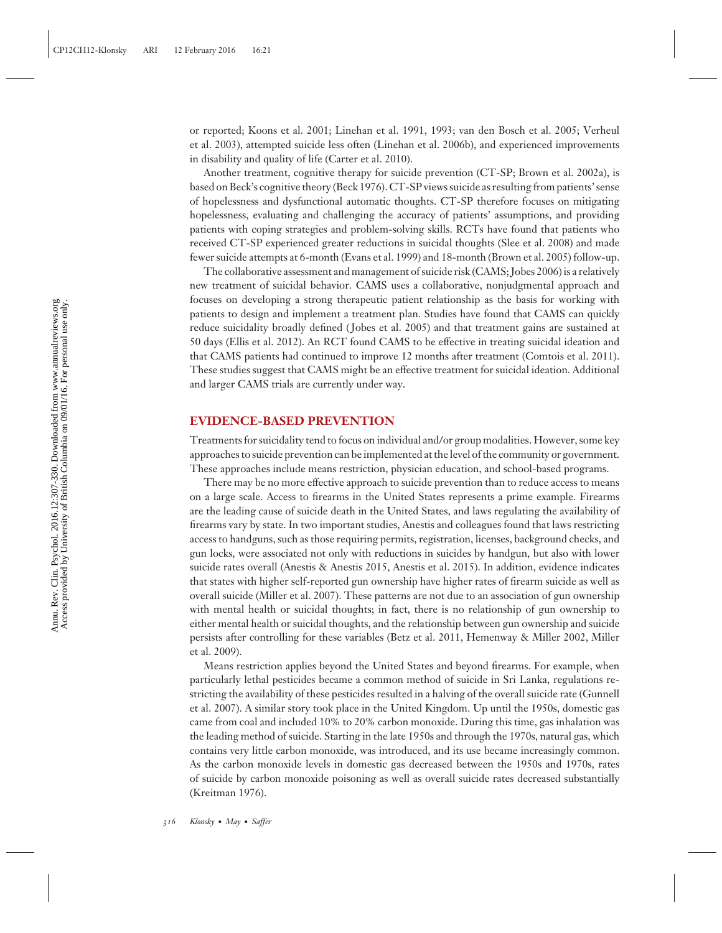or reported; Koons et al. 2001; Linehan et al. 1991, 1993; van den Bosch et al. 2005; Verheul et al. 2003), attempted suicide less often (Linehan et al. 2006b), and experienced improvements in disability and quality of life (Carter et al. 2010).

Another treatment, cognitive therapy for suicide prevention (CT-SP; Brown et al. 2002a), is based on Beck's cognitive theory (Beck 1976). CT-SP views suicide as resulting from patients' sense of hopelessness and dysfunctional automatic thoughts. CT-SP therefore focuses on mitigating hopelessness, evaluating and challenging the accuracy of patients' assumptions, and providing patients with coping strategies and problem-solving skills. RCTs have found that patients who received CT-SP experienced greater reductions in suicidal thoughts (Slee et al. 2008) and made fewer suicide attempts at 6-month (Evans et al. 1999) and 18-month (Brown et al. 2005) follow-up.

The collaborative assessment and management of suicide risk (CAMS; Jobes 2006) is a relatively new treatment of suicidal behavior. CAMS uses a collaborative, nonjudgmental approach and focuses on developing a strong therapeutic patient relationship as the basis for working with patients to design and implement a treatment plan. Studies have found that CAMS can quickly reduce suicidality broadly defined ( Jobes et al. 2005) and that treatment gains are sustained at 50 days (Ellis et al. 2012). An RCT found CAMS to be effective in treating suicidal ideation and that CAMS patients had continued to improve 12 months after treatment (Comtois et al. 2011). These studies suggest that CAMS might be an effective treatment for suicidal ideation. Additional and larger CAMS trials are currently under way.

#### **EVIDENCE-BASED PREVENTION**

Treatments for suicidality tend to focus on individual and/or group modalities. However, some key approaches to suicide prevention can be implemented at the level of the community or government. These approaches include means restriction, physician education, and school-based programs.

There may be no more effective approach to suicide prevention than to reduce access to means on a large scale. Access to firearms in the United States represents a prime example. Firearms are the leading cause of suicide death in the United States, and laws regulating the availability of firearms vary by state. In two important studies, Anestis and colleagues found that laws restricting access to handguns, such as those requiring permits, registration, licenses, background checks, and gun locks, were associated not only with reductions in suicides by handgun, but also with lower suicide rates overall (Anestis & Anestis 2015, Anestis et al. 2015). In addition, evidence indicates that states with higher self-reported gun ownership have higher rates of firearm suicide as well as overall suicide (Miller et al. 2007). These patterns are not due to an association of gun ownership with mental health or suicidal thoughts; in fact, there is no relationship of gun ownership to either mental health or suicidal thoughts, and the relationship between gun ownership and suicide persists after controlling for these variables (Betz et al. 2011, Hemenway & Miller 2002, Miller et al. 2009).

Means restriction applies beyond the United States and beyond firearms. For example, when particularly lethal pesticides became a common method of suicide in Sri Lanka, regulations restricting the availability of these pesticides resulted in a halving of the overall suicide rate (Gunnell et al. 2007). A similar story took place in the United Kingdom. Up until the 1950s, domestic gas came from coal and included 10% to 20% carbon monoxide. During this time, gas inhalation was the leading method of suicide. Starting in the late 1950s and through the 1970s, natural gas, which contains very little carbon monoxide, was introduced, and its use became increasingly common. As the carbon monoxide levels in domestic gas decreased between the 1950s and 1970s, rates of suicide by carbon monoxide poisoning as well as overall suicide rates decreased substantially (Kreitman 1976).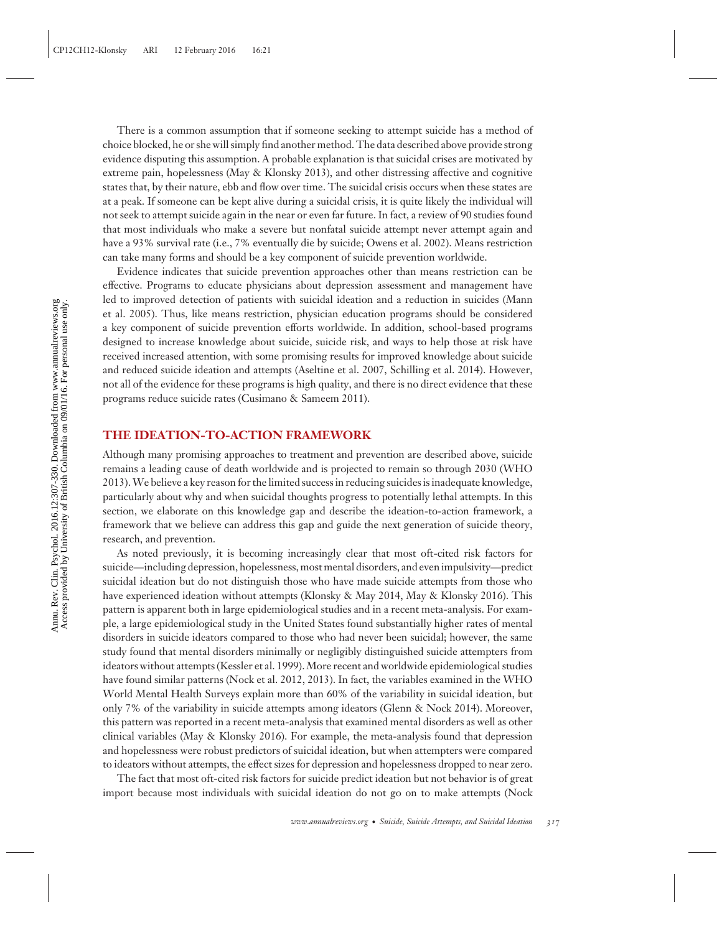There is a common assumption that if someone seeking to attempt suicide has a method of choice blocked, he or she will simply find another method. The data described above provide strong evidence disputing this assumption. A probable explanation is that suicidal crises are motivated by extreme pain, hopelessness (May & Klonsky 2013), and other distressing affective and cognitive states that, by their nature, ebb and flow over time. The suicidal crisis occurs when these states are at a peak. If someone can be kept alive during a suicidal crisis, it is quite likely the individual will not seek to attempt suicide again in the near or even far future. In fact, a review of 90 studies found that most individuals who make a severe but nonfatal suicide attempt never attempt again and have a 93% survival rate (i.e., 7% eventually die by suicide; Owens et al. 2002). Means restriction can take many forms and should be a key component of suicide prevention worldwide.

Evidence indicates that suicide prevention approaches other than means restriction can be effective. Programs to educate physicians about depression assessment and management have led to improved detection of patients with suicidal ideation and a reduction in suicides (Mann et al. 2005). Thus, like means restriction, physician education programs should be considered a key component of suicide prevention efforts worldwide. In addition, school-based programs designed to increase knowledge about suicide, suicide risk, and ways to help those at risk have received increased attention, with some promising results for improved knowledge about suicide and reduced suicide ideation and attempts (Aseltine et al. 2007, Schilling et al. 2014). However, not all of the evidence for these programs is high quality, and there is no direct evidence that these programs reduce suicide rates (Cusimano & Sameem 2011).

#### **THE IDEATION-TO-ACTION FRAMEWORK**

Although many promising approaches to treatment and prevention are described above, suicide remains a leading cause of death worldwide and is projected to remain so through 2030 (WHO 2013).We believe a key reason for the limited success in reducing suicides is inadequate knowledge, particularly about why and when suicidal thoughts progress to potentially lethal attempts. In this section, we elaborate on this knowledge gap and describe the ideation-to-action framework, a framework that we believe can address this gap and guide the next generation of suicide theory, research, and prevention.

As noted previously, it is becoming increasingly clear that most oft-cited risk factors for suicide—including depression, hopelessness, most mental disorders, and even impulsivity—predict suicidal ideation but do not distinguish those who have made suicide attempts from those who have experienced ideation without attempts (Klonsky & May 2014, May & Klonsky 2016). This pattern is apparent both in large epidemiological studies and in a recent meta-analysis. For example, a large epidemiological study in the United States found substantially higher rates of mental disorders in suicide ideators compared to those who had never been suicidal; however, the same study found that mental disorders minimally or negligibly distinguished suicide attempters from ideators without attempts (Kessler et al. 1999). More recent and worldwide epidemiological studies have found similar patterns (Nock et al. 2012, 2013). In fact, the variables examined in the WHO World Mental Health Surveys explain more than 60% of the variability in suicidal ideation, but only 7% of the variability in suicide attempts among ideators (Glenn & Nock 2014). Moreover, this pattern was reported in a recent meta-analysis that examined mental disorders as well as other clinical variables (May & Klonsky 2016). For example, the meta-analysis found that depression and hopelessness were robust predictors of suicidal ideation, but when attempters were compared to ideators without attempts, the effect sizes for depression and hopelessness dropped to near zero.

The fact that most oft-cited risk factors for suicide predict ideation but not behavior is of great import because most individuals with suicidal ideation do not go on to make attempts (Nock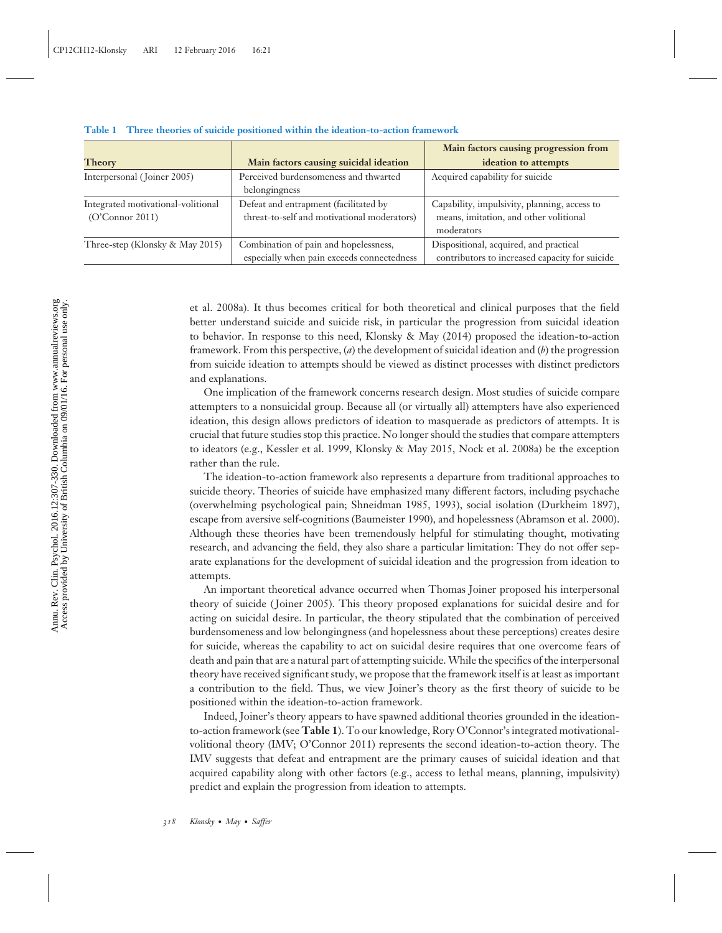**Table 1 Three theories of suicide positioned within the ideation-to-action framework**

|                                                                 |                                                                                      | Main factors causing progression from                                                                |
|-----------------------------------------------------------------|--------------------------------------------------------------------------------------|------------------------------------------------------------------------------------------------------|
| <b>Theory</b>                                                   | Main factors causing suicidal ideation                                               | ideation to attempts                                                                                 |
| Interpersonal (Joiner 2005)                                     | Perceived burdensomeness and thwarted<br>belongingness                               | Acquired capability for suicide                                                                      |
| Integrated motivational-volitional<br>$(O^{\prime}Connor 2011)$ | Defeat and entrapment (facilitated by<br>threat-to-self and motivational moderators) | Capability, impulsivity, planning, access to<br>means, imitation, and other volitional<br>moderators |
| Three-step (Klonsky & May 2015)                                 | Combination of pain and hopelessness,<br>especially when pain exceeds connectedness  | Dispositional, acquired, and practical<br>contributors to increased capacity for suicide             |

et al. 2008a). It thus becomes critical for both theoretical and clinical purposes that the field better understand suicide and suicide risk, in particular the progression from suicidal ideation to behavior. In response to this need, Klonsky & May (2014) proposed the ideation-to-action framework. From this perspective, (*a*) the development of suicidal ideation and (*b*) the progression from suicide ideation to attempts should be viewed as distinct processes with distinct predictors and explanations.

One implication of the framework concerns research design. Most studies of suicide compare attempters to a nonsuicidal group. Because all (or virtually all) attempters have also experienced ideation, this design allows predictors of ideation to masquerade as predictors of attempts. It is crucial that future studies stop this practice. No longer should the studies that compare attempters to ideators (e.g., Kessler et al. 1999, Klonsky & May 2015, Nock et al. 2008a) be the exception rather than the rule.

The ideation-to-action framework also represents a departure from traditional approaches to suicide theory. Theories of suicide have emphasized many different factors, including psychache (overwhelming psychological pain; Shneidman 1985, 1993), social isolation (Durkheim 1897), escape from aversive self-cognitions (Baumeister 1990), and hopelessness (Abramson et al. 2000). Although these theories have been tremendously helpful for stimulating thought, motivating research, and advancing the field, they also share a particular limitation: They do not offer separate explanations for the development of suicidal ideation and the progression from ideation to attempts.

An important theoretical advance occurred when Thomas Joiner proposed his interpersonal theory of suicide ( Joiner 2005). This theory proposed explanations for suicidal desire and for acting on suicidal desire. In particular, the theory stipulated that the combination of perceived burdensomeness and low belongingness (and hopelessness about these perceptions) creates desire for suicide, whereas the capability to act on suicidal desire requires that one overcome fears of death and pain that are a natural part of attempting suicide. While the specifics of the interpersonal theory have received significant study, we propose that the framework itself is at least as important a contribution to the field. Thus, we view Joiner's theory as the first theory of suicide to be positioned within the ideation-to-action framework.

Indeed, Joiner's theory appears to have spawned additional theories grounded in the ideationto-action framework (see **Table 1**). To our knowledge, Rory O'Connor's integrated motivationalvolitional theory (IMV; O'Connor 2011) represents the second ideation-to-action theory. The IMV suggests that defeat and entrapment are the primary causes of suicidal ideation and that acquired capability along with other factors (e.g., access to lethal means, planning, impulsivity) predict and explain the progression from ideation to attempts.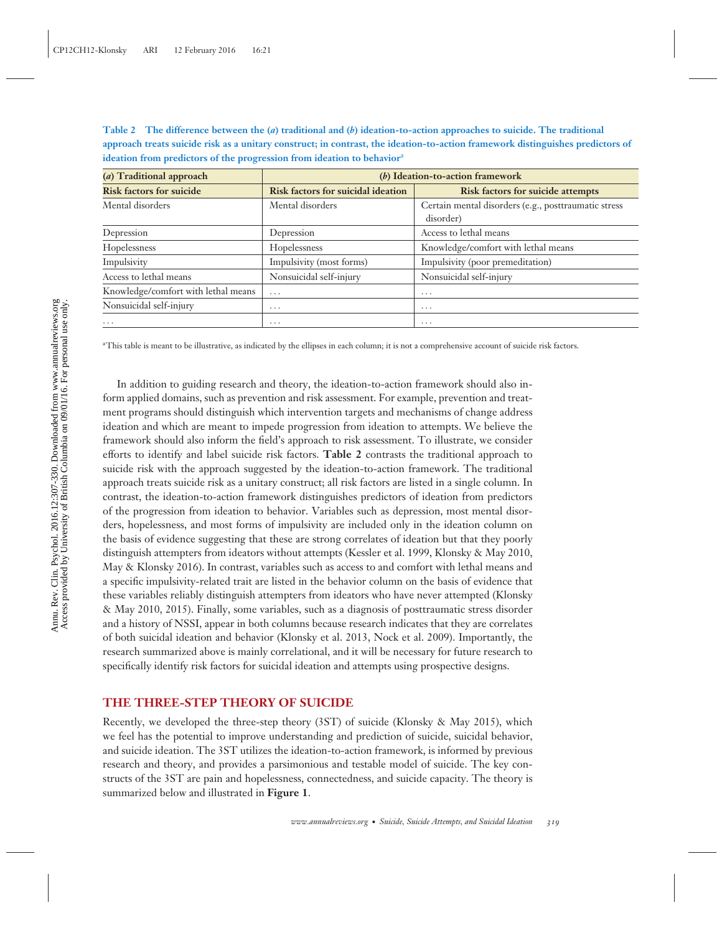**Table 2 The difference between the (***a***) traditional and (***b***) ideation-to-action approaches to suicide. The traditional approach treats suicide risk as a unitary construct; in contrast, the ideation-to-action framework distinguishes predictors of** ideation from predictors of the progression from ideation to behavior<sup>a</sup>

| (a) Traditional approach            | (b) Ideation-to-action framework          |                                                                   |  |
|-------------------------------------|-------------------------------------------|-------------------------------------------------------------------|--|
| <b>Risk factors for suicide</b>     | <b>Risk factors for suicidal ideation</b> | <b>Risk factors for suicide attempts</b>                          |  |
| Mental disorders                    | Mental disorders                          | Certain mental disorders (e.g., posttraumatic stress<br>disorder) |  |
| Depression                          | Depression                                | Access to lethal means                                            |  |
| Hopelessness                        | Hopelessness                              | Knowledge/comfort with lethal means                               |  |
| Impulsivity                         | Impulsivity (most forms)                  | Impulsivity (poor premeditation)                                  |  |
| Access to lethal means              | Nonsuicidal self-injury                   | Nonsuicidal self-injury                                           |  |
| Knowledge/comfort with lethal means | $\cdots$                                  | $\cdots$                                                          |  |
| Nonsuicidal self-injury             | .                                         | $\cdots$                                                          |  |
| .                                   | $\cdots$                                  | $\cdots$                                                          |  |

<sup>a</sup>This table is meant to be illustrative, as indicated by the ellipses in each column; it is not a comprehensive account of suicide risk factors.

In addition to guiding research and theory, the ideation-to-action framework should also inform applied domains, such as prevention and risk assessment. For example, prevention and treatment programs should distinguish which intervention targets and mechanisms of change address ideation and which are meant to impede progression from ideation to attempts. We believe the framework should also inform the field's approach to risk assessment. To illustrate, we consider efforts to identify and label suicide risk factors. **Table 2** contrasts the traditional approach to suicide risk with the approach suggested by the ideation-to-action framework. The traditional approach treats suicide risk as a unitary construct; all risk factors are listed in a single column. In contrast, the ideation-to-action framework distinguishes predictors of ideation from predictors of the progression from ideation to behavior. Variables such as depression, most mental disorders, hopelessness, and most forms of impulsivity are included only in the ideation column on the basis of evidence suggesting that these are strong correlates of ideation but that they poorly distinguish attempters from ideators without attempts (Kessler et al. 1999, Klonsky & May 2010, May & Klonsky 2016). In contrast, variables such as access to and comfort with lethal means and a specific impulsivity-related trait are listed in the behavior column on the basis of evidence that these variables reliably distinguish attempters from ideators who have never attempted (Klonsky & May 2010, 2015). Finally, some variables, such as a diagnosis of posttraumatic stress disorder and a history of NSSI, appear in both columns because research indicates that they are correlates of both suicidal ideation and behavior (Klonsky et al. 2013, Nock et al. 2009). Importantly, the research summarized above is mainly correlational, and it will be necessary for future research to specifically identify risk factors for suicidal ideation and attempts using prospective designs.

#### **THE THREE-STEP THEORY OF SUICIDE**

Recently, we developed the three-step theory (3ST) of suicide (Klonsky & May 2015), which we feel has the potential to improve understanding and prediction of suicide, suicidal behavior, and suicide ideation. The 3ST utilizes the ideation-to-action framework, is informed by previous research and theory, and provides a parsimonious and testable model of suicide. The key constructs of the 3ST are pain and hopelessness, connectedness, and suicide capacity. The theory is summarized below and illustrated in **Figure 1**.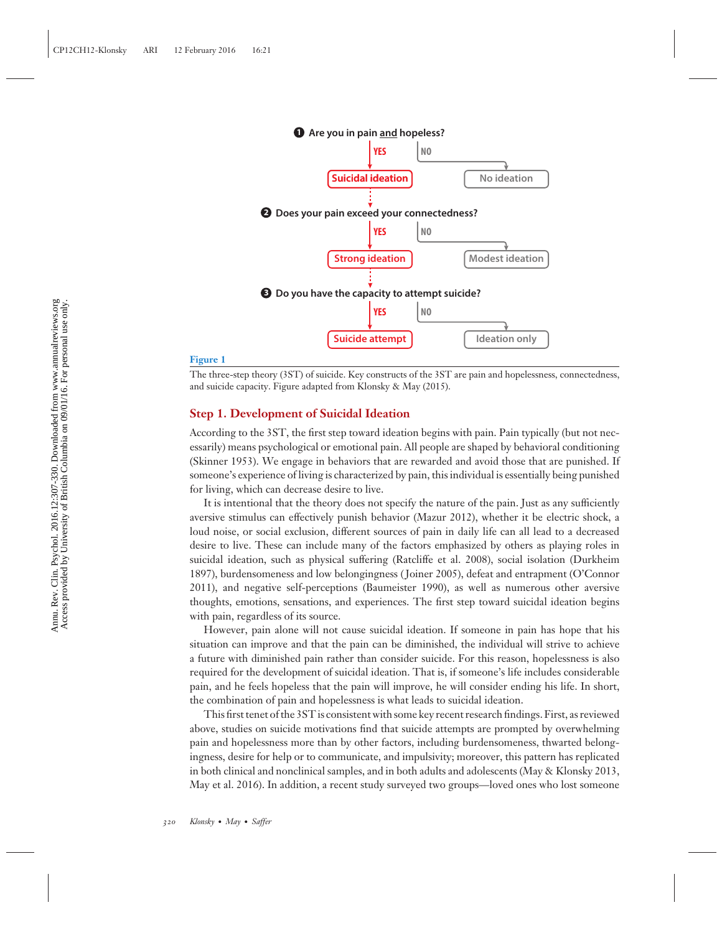

#### **Figure 1**

The three-step theory (3ST) of suicide. Key constructs of the 3ST are pain and hopelessness, connectedness, and suicide capacity. Figure adapted from Klonsky & May (2015).

#### **Step 1. Development of Suicidal Ideation**

According to the 3ST, the first step toward ideation begins with pain. Pain typically (but not necessarily) means psychological or emotional pain. All people are shaped by behavioral conditioning (Skinner 1953). We engage in behaviors that are rewarded and avoid those that are punished. If someone's experience of living is characterized by pain, this individual is essentially being punished for living, which can decrease desire to live.

It is intentional that the theory does not specify the nature of the pain. Just as any sufficiently aversive stimulus can effectively punish behavior (Mazur 2012), whether it be electric shock, a loud noise, or social exclusion, different sources of pain in daily life can all lead to a decreased desire to live. These can include many of the factors emphasized by others as playing roles in suicidal ideation, such as physical suffering (Ratcliffe et al. 2008), social isolation (Durkheim 1897), burdensomeness and low belongingness ( Joiner 2005), defeat and entrapment (O'Connor 2011), and negative self-perceptions (Baumeister 1990), as well as numerous other aversive thoughts, emotions, sensations, and experiences. The first step toward suicidal ideation begins with pain, regardless of its source.

However, pain alone will not cause suicidal ideation. If someone in pain has hope that his situation can improve and that the pain can be diminished, the individual will strive to achieve a future with diminished pain rather than consider suicide. For this reason, hopelessness is also required for the development of suicidal ideation. That is, if someone's life includes considerable pain, and he feels hopeless that the pain will improve, he will consider ending his life. In short, the combination of pain and hopelessness is what leads to suicidal ideation.

This first tenet of the 3ST is consistent with some key recent research findings. First, as reviewed above, studies on suicide motivations find that suicide attempts are prompted by overwhelming pain and hopelessness more than by other factors, including burdensomeness, thwarted belongingness, desire for help or to communicate, and impulsivity; moreover, this pattern has replicated in both clinical and nonclinical samples, and in both adults and adolescents (May & Klonsky 2013, May et al. 2016). In addition, a recent study surveyed two groups—loved ones who lost someone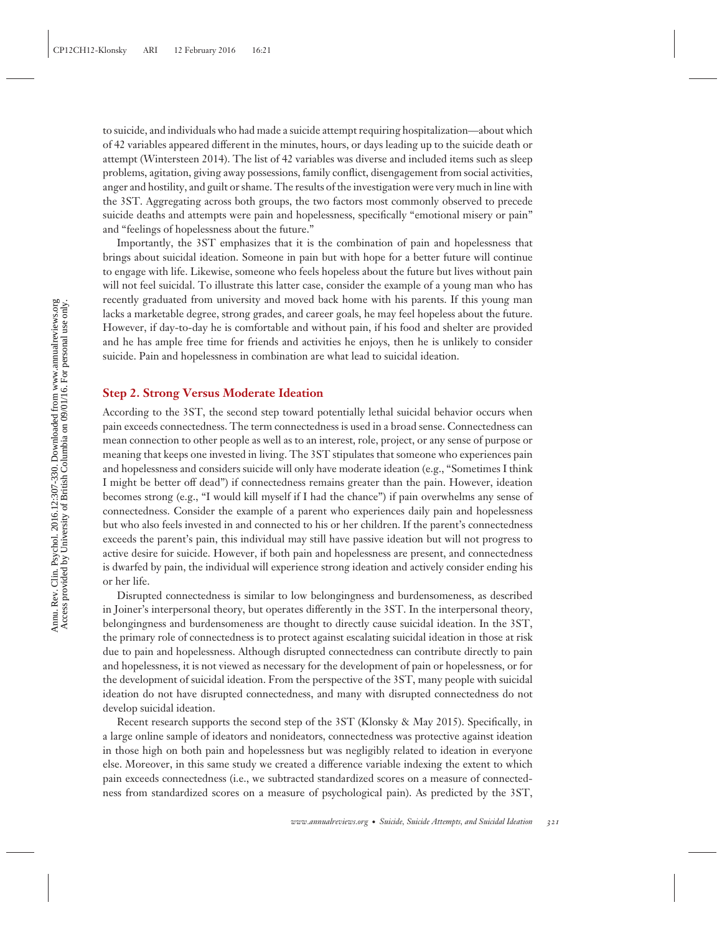to suicide, and individuals who had made a suicide attempt requiring hospitalization—about which of 42 variables appeared different in the minutes, hours, or days leading up to the suicide death or attempt (Wintersteen 2014). The list of 42 variables was diverse and included items such as sleep problems, agitation, giving away possessions, family conflict, disengagement from social activities, anger and hostility, and guilt or shame. The results of the investigation were very much in line with the 3ST. Aggregating across both groups, the two factors most commonly observed to precede suicide deaths and attempts were pain and hopelessness, specifically "emotional misery or pain" and "feelings of hopelessness about the future."

Importantly, the 3ST emphasizes that it is the combination of pain and hopelessness that brings about suicidal ideation. Someone in pain but with hope for a better future will continue to engage with life. Likewise, someone who feels hopeless about the future but lives without pain will not feel suicidal. To illustrate this latter case, consider the example of a young man who has recently graduated from university and moved back home with his parents. If this young man lacks a marketable degree, strong grades, and career goals, he may feel hopeless about the future. However, if day-to-day he is comfortable and without pain, if his food and shelter are provided and he has ample free time for friends and activities he enjoys, then he is unlikely to consider suicide. Pain and hopelessness in combination are what lead to suicidal ideation.

#### **Step 2. Strong Versus Moderate Ideation**

According to the 3ST, the second step toward potentially lethal suicidal behavior occurs when pain exceeds connectedness. The term connectedness is used in a broad sense. Connectedness can mean connection to other people as well as to an interest, role, project, or any sense of purpose or meaning that keeps one invested in living. The 3ST stipulates that someone who experiences pain and hopelessness and considers suicide will only have moderate ideation (e.g., "Sometimes I think I might be better off dead") if connectedness remains greater than the pain. However, ideation becomes strong (e.g., "I would kill myself if I had the chance") if pain overwhelms any sense of connectedness. Consider the example of a parent who experiences daily pain and hopelessness but who also feels invested in and connected to his or her children. If the parent's connectedness exceeds the parent's pain, this individual may still have passive ideation but will not progress to active desire for suicide. However, if both pain and hopelessness are present, and connectedness is dwarfed by pain, the individual will experience strong ideation and actively consider ending his or her life.

Disrupted connectedness is similar to low belongingness and burdensomeness, as described in Joiner's interpersonal theory, but operates differently in the 3ST. In the interpersonal theory, belongingness and burdensomeness are thought to directly cause suicidal ideation. In the 3ST, the primary role of connectedness is to protect against escalating suicidal ideation in those at risk due to pain and hopelessness. Although disrupted connectedness can contribute directly to pain and hopelessness, it is not viewed as necessary for the development of pain or hopelessness, or for the development of suicidal ideation. From the perspective of the 3ST, many people with suicidal ideation do not have disrupted connectedness, and many with disrupted connectedness do not develop suicidal ideation.

Recent research supports the second step of the 3ST (Klonsky & May 2015). Specifically, in a large online sample of ideators and nonideators, connectedness was protective against ideation in those high on both pain and hopelessness but was negligibly related to ideation in everyone else. Moreover, in this same study we created a difference variable indexing the extent to which pain exceeds connectedness (i.e., we subtracted standardized scores on a measure of connectedness from standardized scores on a measure of psychological pain). As predicted by the 3ST,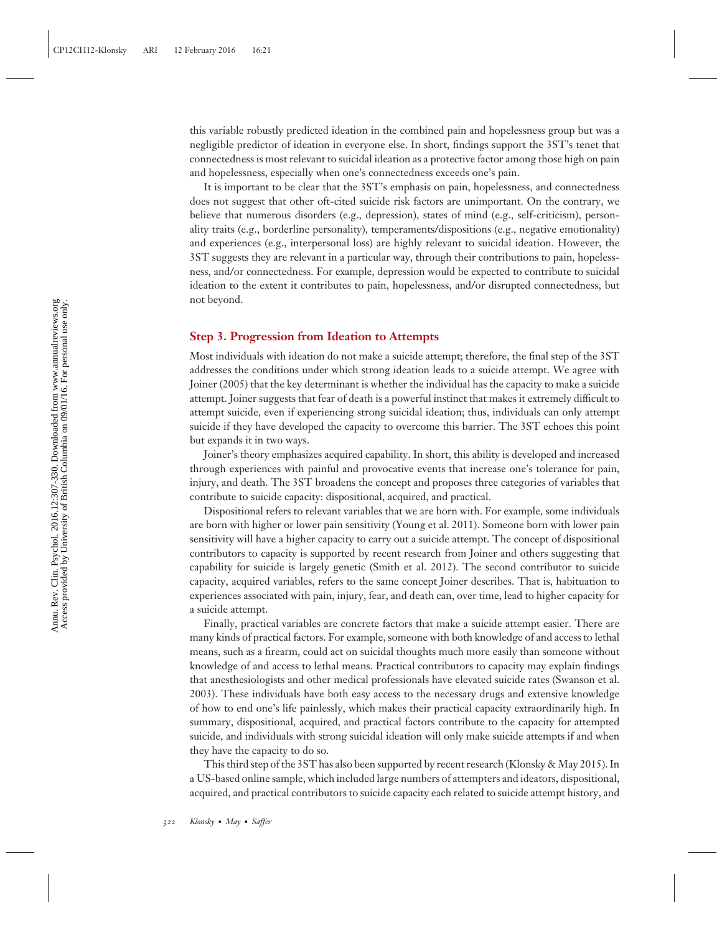this variable robustly predicted ideation in the combined pain and hopelessness group but was a negligible predictor of ideation in everyone else. In short, findings support the 3ST's tenet that connectedness is most relevant to suicidal ideation as a protective factor among those high on pain and hopelessness, especially when one's connectedness exceeds one's pain.

It is important to be clear that the 3ST's emphasis on pain, hopelessness, and connectedness does not suggest that other oft-cited suicide risk factors are unimportant. On the contrary, we believe that numerous disorders (e.g., depression), states of mind (e.g., self-criticism), personality traits (e.g., borderline personality), temperaments/dispositions (e.g., negative emotionality) and experiences (e.g., interpersonal loss) are highly relevant to suicidal ideation. However, the 3ST suggests they are relevant in a particular way, through their contributions to pain, hopelessness, and/or connectedness. For example, depression would be expected to contribute to suicidal ideation to the extent it contributes to pain, hopelessness, and/or disrupted connectedness, but not beyond.

#### **Step 3. Progression from Ideation to Attempts**

Most individuals with ideation do not make a suicide attempt; therefore, the final step of the 3ST addresses the conditions under which strong ideation leads to a suicide attempt. We agree with Joiner (2005) that the key determinant is whether the individual has the capacity to make a suicide attempt. Joiner suggests that fear of death is a powerful instinct that makes it extremely difficult to attempt suicide, even if experiencing strong suicidal ideation; thus, individuals can only attempt suicide if they have developed the capacity to overcome this barrier. The 3ST echoes this point but expands it in two ways.

Joiner's theory emphasizes acquired capability. In short, this ability is developed and increased through experiences with painful and provocative events that increase one's tolerance for pain, injury, and death. The 3ST broadens the concept and proposes three categories of variables that contribute to suicide capacity: dispositional, acquired, and practical.

Dispositional refers to relevant variables that we are born with. For example, some individuals are born with higher or lower pain sensitivity (Young et al. 2011). Someone born with lower pain sensitivity will have a higher capacity to carry out a suicide attempt. The concept of dispositional contributors to capacity is supported by recent research from Joiner and others suggesting that capability for suicide is largely genetic (Smith et al. 2012). The second contributor to suicide capacity, acquired variables, refers to the same concept Joiner describes. That is, habituation to experiences associated with pain, injury, fear, and death can, over time, lead to higher capacity for a suicide attempt.

Finally, practical variables are concrete factors that make a suicide attempt easier. There are many kinds of practical factors. For example, someone with both knowledge of and access to lethal means, such as a firearm, could act on suicidal thoughts much more easily than someone without knowledge of and access to lethal means. Practical contributors to capacity may explain findings that anesthesiologists and other medical professionals have elevated suicide rates (Swanson et al. 2003). These individuals have both easy access to the necessary drugs and extensive knowledge of how to end one's life painlessly, which makes their practical capacity extraordinarily high. In summary, dispositional, acquired, and practical factors contribute to the capacity for attempted suicide, and individuals with strong suicidal ideation will only make suicide attempts if and when they have the capacity to do so.

This third step of the 3ST has also been supported by recent research (Klonsky & May 2015). In a US-based online sample, which included large numbers of attempters and ideators, dispositional, acquired, and practical contributors to suicide capacity each related to suicide attempt history, and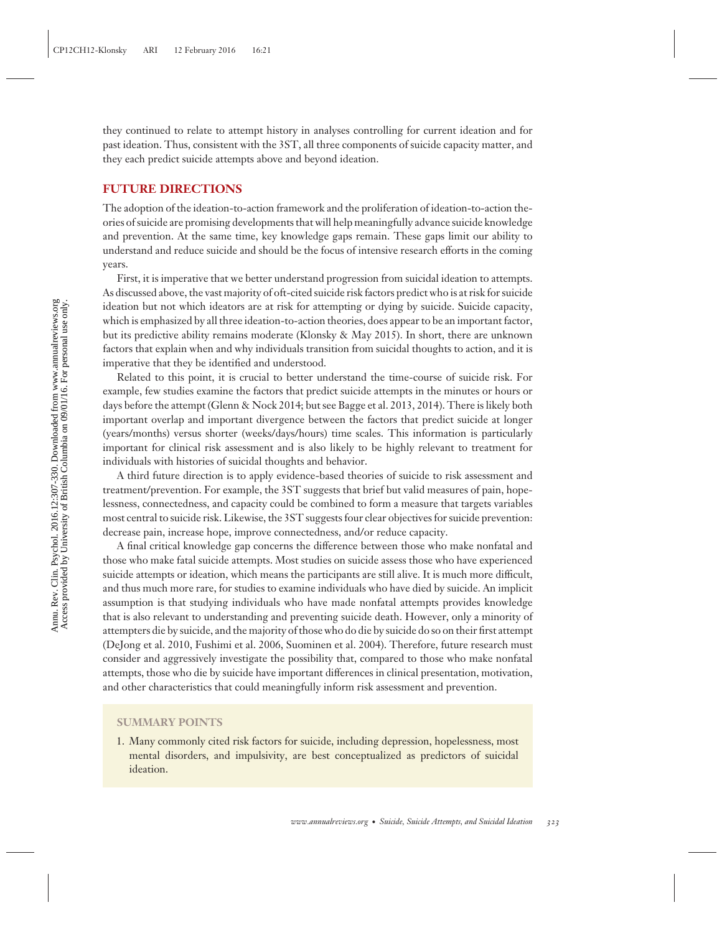they continued to relate to attempt history in analyses controlling for current ideation and for past ideation. Thus, consistent with the 3ST, all three components of suicide capacity matter, and they each predict suicide attempts above and beyond ideation.

#### **FUTURE DIRECTIONS**

The adoption of the ideation-to-action framework and the proliferation of ideation-to-action theories of suicide are promising developments that will help meaningfully advance suicide knowledge and prevention. At the same time, key knowledge gaps remain. These gaps limit our ability to understand and reduce suicide and should be the focus of intensive research efforts in the coming years.

First, it is imperative that we better understand progression from suicidal ideation to attempts. As discussed above, the vast majority of oft-cited suicide risk factors predict who is at risk for suicide ideation but not which ideators are at risk for attempting or dying by suicide. Suicide capacity, which is emphasized by all three ideation-to-action theories, does appear to be an important factor, but its predictive ability remains moderate (Klonsky & May 2015). In short, there are unknown factors that explain when and why individuals transition from suicidal thoughts to action, and it is imperative that they be identified and understood.

Related to this point, it is crucial to better understand the time-course of suicide risk. For example, few studies examine the factors that predict suicide attempts in the minutes or hours or days before the attempt (Glenn & Nock 2014; but see Bagge et al. 2013, 2014). There is likely both important overlap and important divergence between the factors that predict suicide at longer (years/months) versus shorter (weeks/days/hours) time scales. This information is particularly important for clinical risk assessment and is also likely to be highly relevant to treatment for individuals with histories of suicidal thoughts and behavior.

A third future direction is to apply evidence-based theories of suicide to risk assessment and treatment/prevention. For example, the 3ST suggests that brief but valid measures of pain, hopelessness, connectedness, and capacity could be combined to form a measure that targets variables most central to suicide risk. Likewise, the 3ST suggests four clear objectives for suicide prevention: decrease pain, increase hope, improve connectedness, and/or reduce capacity.

A final critical knowledge gap concerns the difference between those who make nonfatal and those who make fatal suicide attempts. Most studies on suicide assess those who have experienced suicide attempts or ideation, which means the participants are still alive. It is much more difficult, and thus much more rare, for studies to examine individuals who have died by suicide. An implicit assumption is that studying individuals who have made nonfatal attempts provides knowledge that is also relevant to understanding and preventing suicide death. However, only a minority of attempters die by suicide, and the majority of those who do die by suicide do so on their first attempt (DeJong et al. 2010, Fushimi et al. 2006, Suominen et al. 2004). Therefore, future research must consider and aggressively investigate the possibility that, compared to those who make nonfatal attempts, those who die by suicide have important differences in clinical presentation, motivation, and other characteristics that could meaningfully inform risk assessment and prevention.

#### **SUMMARY POINTS**

1. Many commonly cited risk factors for suicide, including depression, hopelessness, most mental disorders, and impulsivity, are best conceptualized as predictors of suicidal ideation.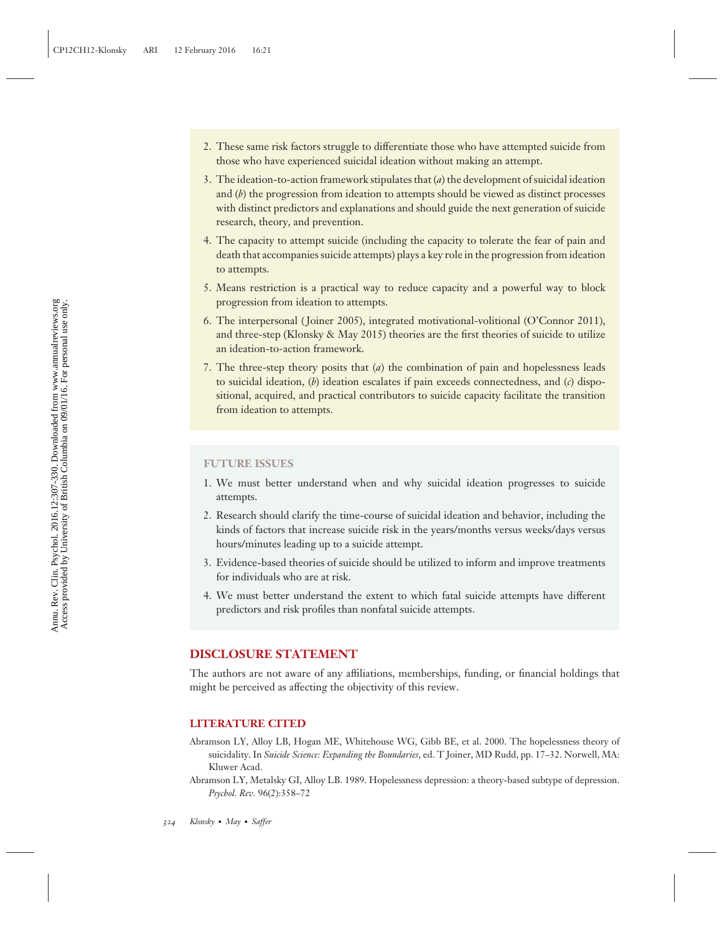- 2. These same risk factors struggle to differentiate those who have attempted suicide from those who have experienced suicidal ideation without making an attempt.
- 3. The ideation-to-action framework stipulates that (*a*) the development of suicidal ideation and (*b*) the progression from ideation to attempts should be viewed as distinct processes with distinct predictors and explanations and should guide the next generation of suicide research, theory, and prevention.
- 4. The capacity to attempt suicide (including the capacity to tolerate the fear of pain and death that accompanies suicide attempts) plays a key role in the progression from ideation to attempts.
- 5. Means restriction is a practical way to reduce capacity and a powerful way to block progression from ideation to attempts.
- 6. The interpersonal ( Joiner 2005), integrated motivational-volitional (O'Connor 2011), and three-step (Klonsky & May 2015) theories are the first theories of suicide to utilize an ideation-to-action framework.
- 7. The three-step theory posits that (*a*) the combination of pain and hopelessness leads to suicidal ideation, (*b*) ideation escalates if pain exceeds connectedness, and (*c*) dispositional, acquired, and practical contributors to suicide capacity facilitate the transition from ideation to attempts.

#### **FUTURE ISSUES**

- 1. We must better understand when and why suicidal ideation progresses to suicide attempts.
- 2. Research should clarify the time-course of suicidal ideation and behavior, including the kinds of factors that increase suicide risk in the years/months versus weeks/days versus hours/minutes leading up to a suicide attempt.
- 3. Evidence-based theories of suicide should be utilized to inform and improve treatments for individuals who are at risk.
- 4. We must better understand the extent to which fatal suicide attempts have different predictors and risk profiles than nonfatal suicide attempts.

#### **DISCLOSURE STATEMENT**

The authors are not aware of any affiliations, memberships, funding, or financial holdings that might be perceived as affecting the objectivity of this review.

#### **LITERATURE CITED**

- Abramson LY, Alloy LB, Hogan ME, Whitehouse WG, Gibb BE, et al. 2000. The hopelessness theory of suicidality. In *Suicide Science: Expanding the Boundaries*, ed. T Joiner, MD Rudd, pp. 17–32. Norwell, MA: Kluwer Acad.
- Abramson LY, Metalsky GI, Alloy LB. 1989. Hopelessness depression: a theory-based subtype of depression. *Psychol. Rev.* 96(2):358–72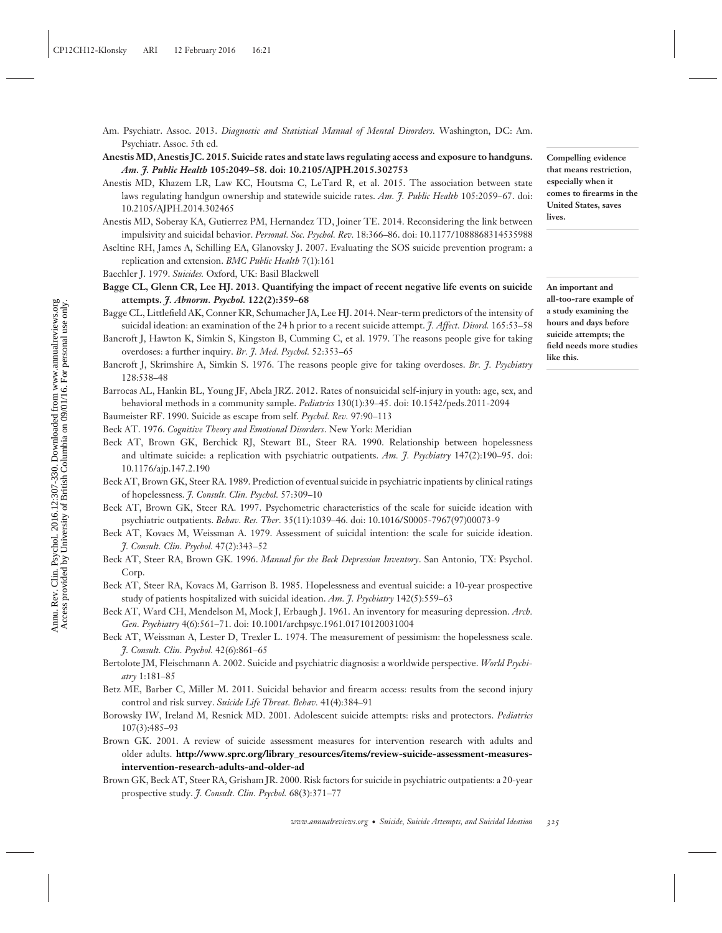Annu. Rev. Clin. Psychol. 2016.12:307-330. Downloaded from www.annualreviews.org<br>Access provided by University of British Columbia on 09/01/16. For personal use only. Annu. Rev. Clin. Psychol. 2016.12:307-330. Downloaded from www.annualreviews.org Access provided by University of British Columbia on 09/01/16. For personal use only.

- Am. Psychiatr. Assoc. 2013. *Diagnostic and Statistical Manual of Mental Disorders.* Washington, DC: Am. Psychiatr. Assoc. 5th ed.
- **Anestis MD, Anestis JC. 2015. Suicide rates and state laws regulating access and exposure to handguns.** *Am. J. Public Health* **105:2049–58. doi: 10.2105/AJPH.2015.302753**
- Anestis MD, Khazem LR, Law KC, Houtsma C, LeTard R, et al. 2015. The association between state laws regulating handgun ownership and statewide suicide rates. *Am. J. Public Health* 105:2059–67. doi: 10.2105/AJPH.2014.302465
- Anestis MD, Soberay KA, Gutierrez PM, Hernandez TD, Joiner TE. 2014. Reconsidering the link between impulsivity and suicidal behavior. *Personal. Soc. Psychol. Rev.* 18:366–86. doi: 10.1177/1088868314535988
- Aseltine RH, James A, Schilling EA, Glanovsky J. 2007. Evaluating the SOS suicide prevention program: a replication and extension. *BMC Public Health* 7(1):161
- Baechler J. 1979. *Suicides.* Oxford, UK: Basil Blackwell
- **Bagge CL, Glenn CR, Lee HJ. 2013. Quantifying the impact of recent negative life events on suicide attempts.** *J. Abnorm. Psychol.* **122(2):359–68**
- Bagge CL, Littlefield AK, Conner KR, Schumacher JA, Lee HJ. 2014. Near-term predictors of the intensity of suicidal ideation: an examination of the 24 h prior to a recent suicide attempt. *J. Affect. Disord.* 165:53–58
- Bancroft J, Hawton K, Simkin S, Kingston B, Cumming C, et al. 1979. The reasons people give for taking overdoses: a further inquiry. *Br. J. Med. Psychol.* 52:353–65
- Bancroft J, Skrimshire A, Simkin S. 1976. The reasons people give for taking overdoses. *Br. J. Psychiatry* 128:538–48
- Barrocas AL, Hankin BL, Young JF, Abela JRZ. 2012. Rates of nonsuicidal self-injury in youth: age, sex, and behavioral methods in a community sample. *Pediatrics* 130(1):39–45. doi: 10.1542/peds.2011-2094
- Baumeister RF. 1990. Suicide as escape from self. *Psychol. Rev.* 97:90–113
- Beck AT. 1976. *Cognitive Theory and Emotional Disorders*. New York: Meridian
- Beck AT, Brown GK, Berchick RJ, Stewart BL, Steer RA. 1990. Relationship between hopelessness and ultimate suicide: a replication with psychiatric outpatients. *Am. J. Psychiatry* 147(2):190–95. doi: 10.1176/ajp.147.2.190
- Beck AT, Brown GK, Steer RA. 1989. Prediction of eventual suicide in psychiatric inpatients by clinical ratings of hopelessness. *J. Consult. Clin. Psychol.* 57:309–10
- Beck AT, Brown GK, Steer RA. 1997. Psychometric characteristics of the scale for suicide ideation with psychiatric outpatients. *Behav. Res. Ther.* 35(11):1039–46. doi: 10.1016/S0005-7967(97)00073-9
- Beck AT, Kovacs M, Weissman A. 1979. Assessment of suicidal intention: the scale for suicide ideation. *J. Consult. Clin. Psychol.* 47(2):343–52
- Beck AT, Steer RA, Brown GK. 1996. *Manual for the Beck Depression Inventory*. San Antonio, TX: Psychol. Corp.
- Beck AT, Steer RA, Kovacs M, Garrison B. 1985. Hopelessness and eventual suicide: a 10-year prospective study of patients hospitalized with suicidal ideation. *Am. J. Psychiatry* 142(5):559–63
- Beck AT, Ward CH, Mendelson M, Mock J, Erbaugh J. 1961. An inventory for measuring depression. *Arch. Gen. Psychiatry* 4(6):561–71. doi: 10.1001/archpsyc.1961.01710120031004
- Beck AT, Weissman A, Lester D, Trexler L. 1974. The measurement of pessimism: the hopelessness scale. *J. Consult. Clin. Psychol.* 42(6):861–65
- Bertolote JM, Fleischmann A. 2002. Suicide and psychiatric diagnosis: a worldwide perspective. *World Psychiatry* 1:181–85
- Betz ME, Barber C, Miller M. 2011. Suicidal behavior and firearm access: results from the second injury control and risk survey. *Suicide Life Threat. Behav.* 41(4):384–91
- Borowsky IW, Ireland M, Resnick MD. 2001. Adolescent suicide attempts: risks and protectors. *Pediatrics* 107(3):485–93
- Brown GK. 2001. A review of suicide assessment measures for intervention research with adults and older adults. **[http://www.sprc.org/library\\_resources/items/review-suicide-assessment-measures](http://www.sprc.org/library_resources/items/review-suicide-assessment-measures-intervention-research-adults-and-older-ad)[intervention-research-adults-and-older-ad](http://www.sprc.org/library_resources/items/review-suicide-assessment-measures-intervention-research-adults-and-older-ad)**
- Brown GK, Beck AT, Steer RA, Grisham JR. 2000. Risk factors for suicide in psychiatric outpatients: a 20-year prospective study. *J. Consult. Clin. Psychol.* 68(3):371–77

**Compelling evidence that means restriction, especially when it comes to firearms in the United States, saves lives.**

**An important and all-too-rare example of a study examining the hours and days before suicide attempts; the field needs more studies like this.**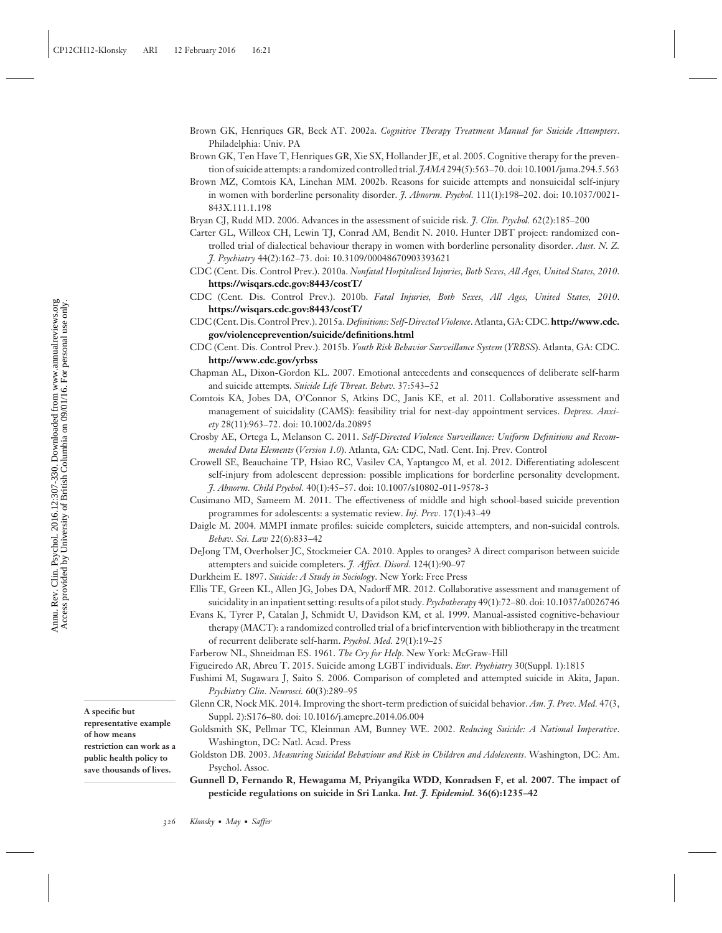- Brown GK, Henriques GR, Beck AT. 2002a. *Cognitive Therapy Treatment Manual for Suicide Attempters*. Philadelphia: Univ. PA
- Brown GK, Ten Have T, Henriques GR, Xie SX, Hollander JE, et al. 2005. Cognitive therapy for the prevention of suicide attempts: a randomized controlled trial. *JAMA*294(5):563–70. doi: 10.1001/jama.294.5.563
- Brown MZ, Comtois KA, Linehan MM. 2002b. Reasons for suicide attempts and nonsuicidal self-injury in women with borderline personality disorder. *J. Abnorm. Psychol.* 111(1):198–202. doi: 10.1037/0021- 843X.111.1.198
- Bryan CJ, Rudd MD. 2006. Advances in the assessment of suicide risk. *J. Clin. Psychol.* 62(2):185–200
- Carter GL, Willcox CH, Lewin TJ, Conrad AM, Bendit N. 2010. Hunter DBT project: randomized controlled trial of dialectical behaviour therapy in women with borderline personality disorder. *Aust. N. Z. J. Psychiatry* 44(2):162–73. doi: 10.3109/00048670903393621
- CDC (Cent. Dis. Control Prev.). 2010a. *Nonfatal Hospitalized Injuries, Both Sexes, All Ages, United States, 2010*. **<https://wisqars.cdc.gov:8443/costT/>**
- CDC (Cent. Dis. Control Prev.). 2010b. *Fatal Injuries, Both Sexes, All Ages, United States, 2010*. **<https://wisqars.cdc.gov:8443/costT/>**
- CDC (Cent. Dis. Control Prev.). 2015a.*Definitions: Self-Directed Violence*. Atlanta, GA: CDC. **[http://www.cdc.](http://www.cdc.gov/violenceprevention/suicide/definitions.html) [gov/violenceprevention/suicide/definitions.html](http://www.cdc.gov/violenceprevention/suicide/definitions.html)**
- CDC (Cent. Dis. Control Prev.). 2015b. *Youth Risk Behavior Surveillance System* (*YRBSS*). Atlanta, GA: CDC. **<http://www.cdc.gov/yrbss>**
- Chapman AL, Dixon-Gordon KL. 2007. Emotional antecedents and consequences of deliberate self-harm and suicide attempts. *Suicide Life Threat. Behav.* 37:543–52
- Comtois KA, Jobes DA, O'Connor S, Atkins DC, Janis KE, et al. 2011. Collaborative assessment and management of suicidality (CAMS): feasibility trial for next-day appointment services. *Depress. Anxiety* 28(11):963–72. doi: 10.1002/da.20895
- Crosby AE, Ortega L, Melanson C. 2011. *Self-Directed Violence Surveillance: Uniform Definitions and Recommended Data Elements* (*Version 1.0*). Atlanta, GA: CDC, Natl. Cent. Inj. Prev. Control
- Crowell SE, Beauchaine TP, Hsiao RC, Vasilev CA, Yaptangco M, et al. 2012. Differentiating adolescent self-injury from adolescent depression: possible implications for borderline personality development. *J. Abnorm. Child Psychol.* 40(1):45–57. doi: 10.1007/s10802-011-9578-3
- Cusimano MD, Sameem M. 2011. The effectiveness of middle and high school-based suicide prevention programmes for adolescents: a systematic review. *Inj. Prev.* 17(1):43–49
- Daigle M. 2004. MMPI inmate profiles: suicide completers, suicide attempters, and non-suicidal controls. *Behav. Sci. Law* 22(6):833–42
- DeJong TM, Overholser JC, Stockmeier CA. 2010. Apples to oranges? A direct comparison between suicide attempters and suicide completers. *J. Affect. Disord.* 124(1):90–97
- Durkheim E. 1897. *Suicide: A Study in Sociology*. New York: Free Press
- Ellis TE, Green KL, Allen JG, Jobes DA, Nadorff MR. 2012. Collaborative assessment and management of suicidality in an inpatient setting: results of a pilot study. *Psychotherapy* 49(1):72–80. doi: 10.1037/a0026746
- Evans K, Tyrer P, Catalan J, Schmidt U, Davidson KM, et al. 1999. Manual-assisted cognitive-behaviour therapy (MACT): a randomized controlled trial of a brief intervention with bibliotherapy in the treatment of recurrent deliberate self-harm. *Psychol. Med.* 29(1):19–25
- Farberow NL, Shneidman ES. 1961. *The Cry for Help*. New York: McGraw-Hill
- Figueiredo AR, Abreu T. 2015. Suicide among LGBT individuals. *Eur. Psychiatry* 30(Suppl. 1):1815
- Fushimi M, Sugawara J, Saito S. 2006. Comparison of completed and attempted suicide in Akita, Japan. *Psychiatry Clin. Neurosci.* 60(3):289–95
- Glenn CR, Nock MK. 2014. Improving the short-term prediction of suicidal behavior. *Am. J. Prev. Med.* 47(3, Suppl. 2):S176–80. doi: 10.1016/j.amepre.2014.06.004
- Goldsmith SK, Pellmar TC, Kleinman AM, Bunney WE. 2002. *Reducing Suicide: A National Imperative*. Washington, DC: Natl. Acad. Press
- Goldston DB. 2003. *Measuring Suicidal Behaviour and Risk in Children and Adolescents*. Washington, DC: Am. Psychol. Assoc.
- **Gunnell D, Fernando R, Hewagama M, Priyangika WDD, Konradsen F, et al. 2007. The impact of pesticide regulations on suicide in Sri Lanka.** *Int. J. Epidemiol.* **36(6):1235–42**

**A specific but representative example of how means restriction can work as a public health policy to save thousands of lives.**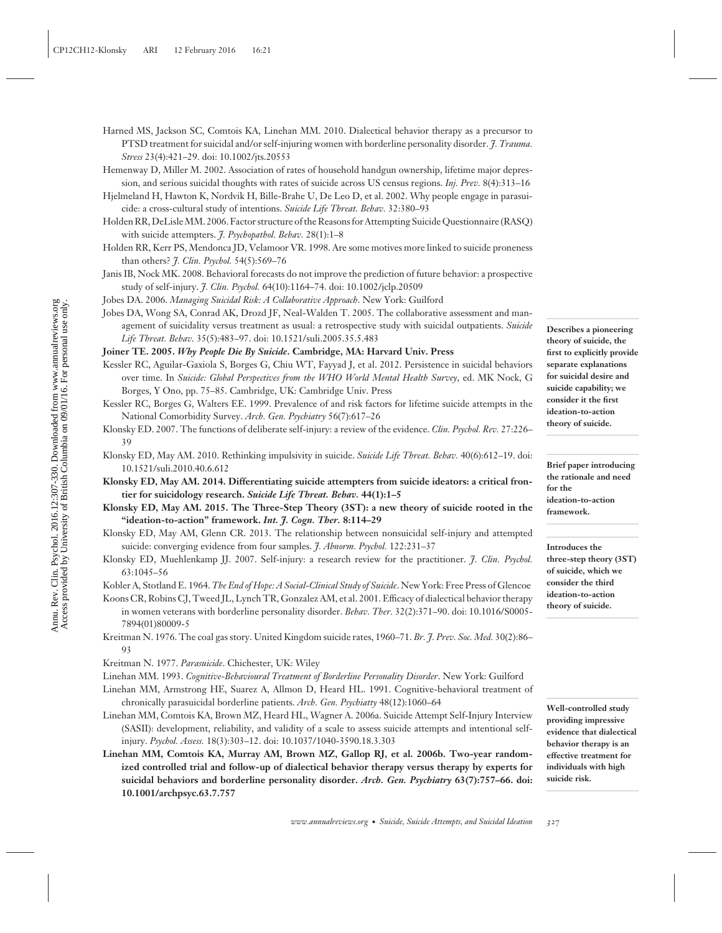Hjelmeland H, Hawton K, Nordvik H, Bille-Brahe U, De Leo D, et al. 2002. Why people engage in parasuicide: a cross-cultural study of intentions. *Suicide Life Threat. Behav.* 32:380–93 Holden RR, DeLisleMM. 2006. Factor structure of the Reasons for Attempting Suicide Questionnaire (RASQ) with suicide attempters. *J. Psychopathol. Behav.* 28(1):1–8 Holden RR, Kerr PS, Mendonca JD, Velamoor VR. 1998. Are some motives more linked to suicide proneness than others? *J. Clin. Psychol.* 54(5):569–76 Janis IB, Nock MK. 2008. Behavioral forecasts do not improve the prediction of future behavior: a prospective study of self-injury. *J. Clin. Psychol.* 64(10):1164–74. doi: 10.1002/jclp.20509 Jobes DA. 2006. *Managing Suicidal Risk: A Collaborative Approach*. New York: Guilford

Jobes DA, Wong SA, Conrad AK, Drozd JF, Neal-Walden T. 2005. The collaborative assessment and management of suicidality versus treatment as usual: a retrospective study with suicidal outpatients. *Suicide Life Threat. Behav.* 35(5):483–97. doi: 10.1521/suli.2005.35.5.483

**Joiner TE. 2005.** *Why People Die By Suicide***. Cambridge, MA: Harvard Univ. Press**

- Kessler RC, Aguilar-Gaxiola S, Borges G, Chiu WT, Fayyad J, et al. 2012. Persistence in suicidal behaviors over time. In *Suicide: Global Perspectives from the WHO World Mental Health Survey*, ed. MK Nock, G Borges, Y Ono, pp. 75–85. Cambridge, UK: Cambridge Univ. Press
- Kessler RC, Borges G, Walters EE. 1999. Prevalence of and risk factors for lifetime suicide attempts in the National Comorbidity Survey. *Arch. Gen. Psychiatry* 56(7):617–26
- Klonsky ED. 2007. The functions of deliberate self-injury: a review of the evidence. *Clin. Psychol. Rev.* 27:226– 39
- Klonsky ED, May AM. 2010. Rethinking impulsivity in suicide. *Suicide Life Threat. Behav.* 40(6):612–19. doi: 10.1521/suli.2010.40.6.612 **Brief paper introducing**
- **Klonsky ED, May AM. 2014. Differentiating suicide attempters from suicide ideators: a critical frontier for suicidology research.** *Suicide Life Threat. Behav.* **44(1):1–5**
- **Klonsky ED, May AM. 2015. The Three-Step Theory (3ST): a new theory of suicide rooted in the "ideation-to-action" framework.** *Int. J. Cogn. Ther.* **8:114–29**
- Klonsky ED, May AM, Glenn CR. 2013. The relationship between nonsuicidal self-injury and attempted suicide: converging evidence from four samples. *J. Abnorm. Psychol.* 122:231–37
- Klonsky ED, Muehlenkamp JJ. 2007. Self-injury: a research review for the practitioner. *J. Clin. Psychol.* 63:1045–56
- Kobler A, Stotland E. 1964. *The End of Hope: A Social-Clinical Study of Suicide*. New York: Free Press of Glencoe

Koons CR, Robins CJ, Tweed JL, Lynch TR, Gonzalez AM, et al. 2001. Efficacy of dialectical behavior therapy in women veterans with borderline personality disorder. *Behav. Ther.* 32(2):371–90. doi: 10.1016/S0005- 7894(01)80009-5

Kreitman N. 1976. The coal gas story. United Kingdom suicide rates, 1960–71. *Br. J. Prev. Soc. Med.* 30(2):86– 93

Kreitman N. 1977. *Parasuicide*. Chichester, UK: Wiley

Linehan MM. 1993. *Cognitive-Behavioural Treatment of Borderline Personality Disorder*. New York: Guilford

- Linehan MM, Armstrong HE, Suarez A, Allmon D, Heard HL. 1991. Cognitive-behavioral treatment of chronically parasuicidal borderline patients. *Arch. Gen. Psychiatty* 48(12):1060–64
- Linehan MM, Comtois KA, Brown MZ, Heard HL, Wagner A. 2006a. Suicide Attempt Self-Injury Interview (SASII): development, reliability, and validity of a scale to assess suicide attempts and intentional selfinjury. *Psychol. Assess.* 18(3):303–12. doi: 10.1037/1040-3590.18.3.303
- **Linehan MM, Comtois KA, Murray AM, Brown MZ, Gallop RJ, et al. 2006b. Two-year randomized controlled trial and follow-up of dialectical behavior therapy versus therapy by experts for suicidal behaviors and borderline personality disorder.** *Arch. Gen. Psychiatry* **63(7):757–66. doi: 10.1001/archpsyc.63.7.757**

**Describes a pioneering theory of suicide, the first to explicitly provide separate explanations for suicidal desire and suicide capability; we consider it the first ideation-to-action theory of suicide.**

**the rationale and need for the ideation-to-action framework.**

**Introduces the three-step theory (3ST) of suicide, which we consider the third ideation-to-action theory of suicide.**

**Well-controlled study providing impressive evidence that dialectical behavior therapy is an effective treatment for individuals with high suicide risk.**

Harned MS, Jackson SC, Comtois KA, Linehan MM. 2010. Dialectical behavior therapy as a precursor to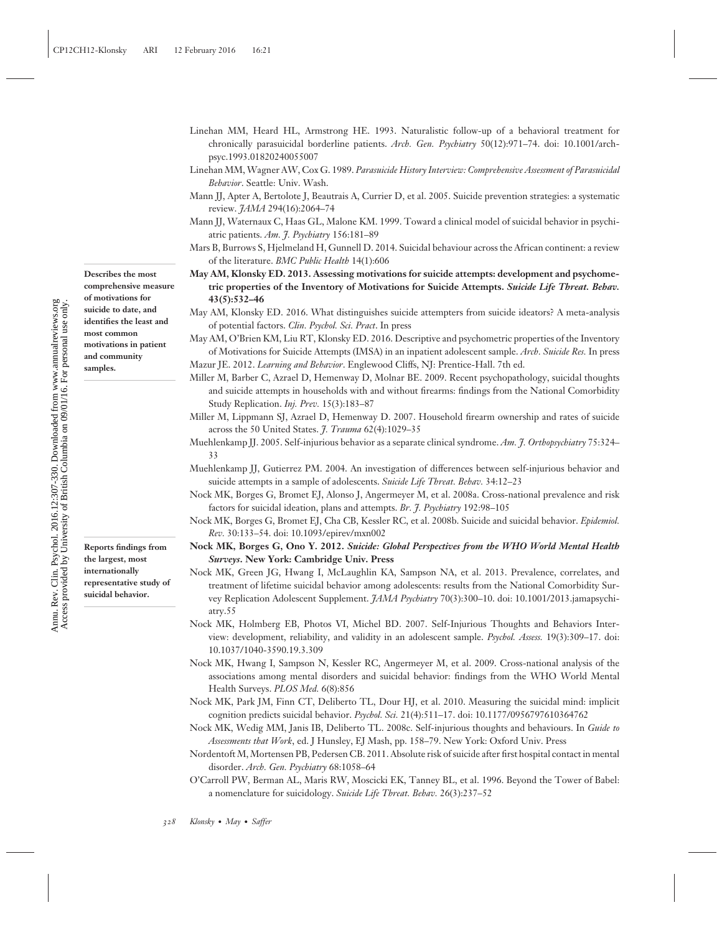**comprehensive measure of motivations for suicide to date, and identifies the least and most common motivations in patient and community samples.**

**Describes the most**

**Reports findings from the largest, most internationally representative study of suicidal behavior.**

- Linehan MM, Heard HL, Armstrong HE. 1993. Naturalistic follow-up of a behavioral treatment for chronically parasuicidal borderline patients. *Arch. Gen. Psychiatry* 50(12):971–74. doi: 10.1001/archpsyc.1993.01820240055007
- Linehan MM, Wagner AW, Cox G. 1989. *Parasuicide History Interview: Comprehensive Assessment of Parasuicidal Behavior*. Seattle: Univ. Wash.
- Mann JJ, Apter A, Bertolote J, Beautrais A, Currier D, et al. 2005. Suicide prevention strategies: a systematic review. *JAMA* 294(16):2064–74
- Mann JJ, Waternaux C, Haas GL, Malone KM. 1999. Toward a clinical model of suicidal behavior in psychiatric patients. *Am. J. Psychiatry* 156:181–89
- Mars B, Burrows S, Hjelmeland H, Gunnell D. 2014. Suicidal behaviour across the African continent: a review of the literature. *BMC Public Health* 14(1):606
- **May AM, Klonsky ED. 2013. Assessing motivations for suicide attempts: development and psychometric properties of the Inventory of Motivations for Suicide Attempts.** *Suicide Life Threat. Behav.* **43(5):532–46**
- May AM, Klonsky ED. 2016. What distinguishes suicide attempters from suicide ideators? A meta-analysis of potential factors. *Clin. Psychol. Sci. Pract*. In press
- May AM, O'Brien KM, Liu RT, Klonsky ED. 2016. Descriptive and psychometric properties of the Inventory of Motivations for Suicide Attempts (IMSA) in an inpatient adolescent sample. *Arch. Suicide Res.* In press Mazur JE. 2012. *Learning and Behavior*. Englewood Cliffs, NJ: Prentice-Hall. 7th ed.
- Miller M, Barber C, Azrael D, Hemenway D, Molnar BE. 2009. Recent psychopathology, suicidal thoughts and suicide attempts in households with and without firearms: findings from the National Comorbidity Study Replication. *Inj. Prev.* 15(3):183–87
- Miller M, Lippmann SJ, Azrael D, Hemenway D. 2007. Household firearm ownership and rates of suicide across the 50 United States. *J. Trauma* 62(4):1029–35
- Muehlenkamp JJ. 2005. Self-injurious behavior as a separate clinical syndrome. *Am. J. Orthopsychiatry* 75:324– 33
- Muehlenkamp JJ, Gutierrez PM. 2004. An investigation of differences between self-injurious behavior and suicide attempts in a sample of adolescents. *Suicide Life Threat. Behav.* 34:12–23
- Nock MK, Borges G, Bromet EJ, Alonso J, Angermeyer M, et al. 2008a. Cross-national prevalence and risk factors for suicidal ideation, plans and attempts. *Br. J. Psychiatry* 192:98–105
- Nock MK, Borges G, Bromet EJ, Cha CB, Kessler RC, et al. 2008b. Suicide and suicidal behavior. *Epidemiol. Rev.* 30:133–54. doi: 10.1093/epirev/mxn002
- **Nock MK, Borges G, Ono Y. 2012.** *Suicide: Global Perspectives from the WHO World Mental Health Surveys***. New York: Cambridge Univ. Press**
- Nock MK, Green JG, Hwang I, McLaughlin KA, Sampson NA, et al. 2013. Prevalence, correlates, and treatment of lifetime suicidal behavior among adolescents: results from the National Comorbidity Survey Replication Adolescent Supplement. *JAMA Psychiatry* 70(3):300–10. doi: 10.1001/2013.jamapsychiatry.55
- Nock MK, Holmberg EB, Photos VI, Michel BD. 2007. Self-Injurious Thoughts and Behaviors Interview: development, reliability, and validity in an adolescent sample. *Psychol. Assess.* 19(3):309–17. doi: 10.1037/1040-3590.19.3.309
- Nock MK, Hwang I, Sampson N, Kessler RC, Angermeyer M, et al. 2009. Cross-national analysis of the associations among mental disorders and suicidal behavior: findings from the WHO World Mental Health Surveys. *PLOS Med.* 6(8):856
- Nock MK, Park JM, Finn CT, Deliberto TL, Dour HJ, et al. 2010. Measuring the suicidal mind: implicit cognition predicts suicidal behavior. *Psychol. Sci.* 21(4):511–17. doi: 10.1177/0956797610364762
- Nock MK, Wedig MM, Janis IB, Deliberto TL. 2008c. Self-injurious thoughts and behaviours. In *Guide to Assessments that Work*, ed. J Hunsley, EJ Mash, pp. 158–79. New York: Oxford Univ. Press
- Nordentoft M, Mortensen PB, Pedersen CB. 2011. Absolute risk of suicide after first hospital contact in mental disorder. *Arch. Gen. Psychiatry* 68:1058–64
- O'Carroll PW, Berman AL, Maris RW, Moscicki EK, Tanney BL, et al. 1996. Beyond the Tower of Babel: a nomenclature for suicidology. *Suicide Life Threat. Behav.* 26(3):237–52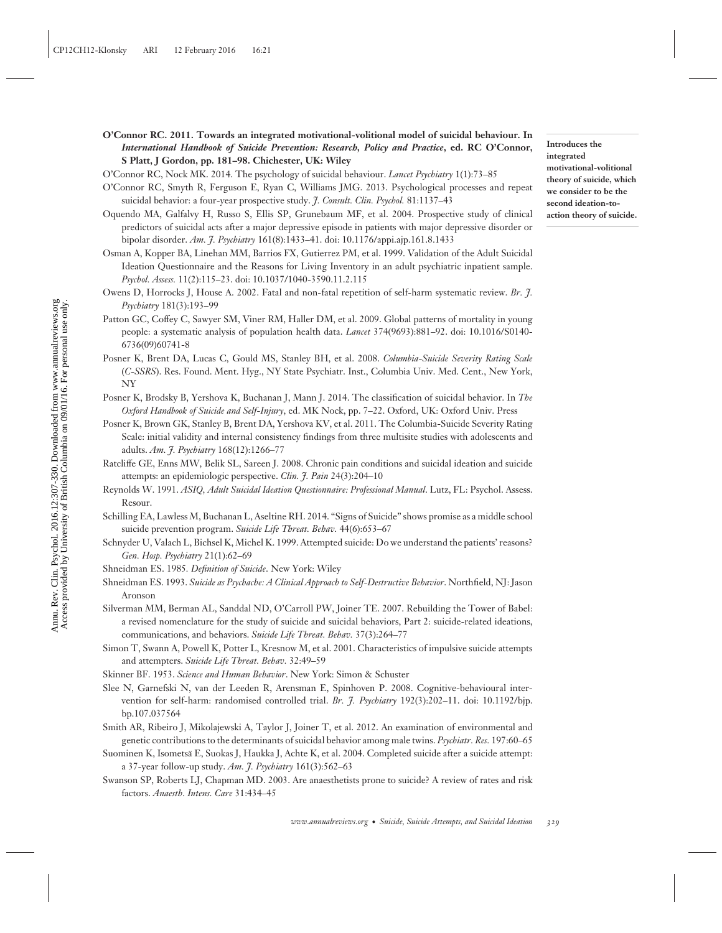*www.annualreviews.org* • *Suicide, Suicide Attempts, and Suicidal Ideation 329*

- **O'Connor RC. 2011. Towards an integrated motivational-volitional model of suicidal behaviour. In** *International Handbook of Suicide Prevention: Research, Policy and Practice***, ed. RC O'Connor, S Platt, J Gordon, pp. 181–98. Chichester, UK: Wiley**
- O'Connor RC, Nock MK. 2014. The psychology of suicidal behaviour. *Lancet Psychiatry* 1(1):73–85
- O'Connor RC, Smyth R, Ferguson E, Ryan C, Williams JMG. 2013. Psychological processes and repeat suicidal behavior: a four-year prospective study. *J. Consult. Clin. Psychol.* 81:1137–43
- Oquendo MA, Galfalvy H, Russo S, Ellis SP, Grunebaum MF, et al. 2004. Prospective study of clinical predictors of suicidal acts after a major depressive episode in patients with major depressive disorder or bipolar disorder. *Am. J. Psychiatry* 161(8):1433–41. doi: 10.1176/appi.ajp.161.8.1433
- Osman A, Kopper BA, Linehan MM, Barrios FX, Gutierrez PM, et al. 1999. Validation of the Adult Suicidal Ideation Questionnaire and the Reasons for Living Inventory in an adult psychiatric inpatient sample. *Psychol. Assess.* 11(2):115–23. doi: 10.1037/1040-3590.11.2.115
- Owens D, Horrocks J, House A. 2002. Fatal and non-fatal repetition of self-harm systematic review. *Br. J. Psychiatry* 181(3):193–99
- Patton GC, Coffey C, Sawyer SM, Viner RM, Haller DM, et al. 2009. Global patterns of mortality in young people: a systematic analysis of population health data. *Lancet* 374(9693):881–92. doi: 10.1016/S0140- 6736(09)60741-8
- Posner K, Brent DA, Lucas C, Gould MS, Stanley BH, et al. 2008. *Columbia-Suicide Severity Rating Scale* (*C-SSRS*). Res. Found. Ment. Hyg., NY State Psychiatr. Inst., Columbia Univ. Med. Cent., New York, NY
- Posner K, Brodsky B, Yershova K, Buchanan J, Mann J. 2014. The classification of suicidal behavior. In *The Oxford Handbook of Suicide and Self-Injury*, ed. MK Nock, pp. 7–22. Oxford, UK: Oxford Univ. Press
- Posner K, Brown GK, Stanley B, Brent DA, Yershova KV, et al. 2011. The Columbia-Suicide Severity Rating Scale: initial validity and internal consistency findings from three multisite studies with adolescents and adults. *Am. J. Psychiatry* 168(12):1266–77
- Ratcliffe GE, Enns MW, Belik SL, Sareen J. 2008. Chronic pain conditions and suicidal ideation and suicide attempts: an epidemiologic perspective. *Clin. J. Pain* 24(3):204–10
- Reynolds W. 1991. *ASIQ, Adult Suicidal Ideation Questionnaire: Professional Manual*. Lutz, FL: Psychol. Assess. Resour.
- Schilling EA, Lawless M, Buchanan L, Aseltine RH. 2014. "Signs of Suicide" shows promise as a middle school suicide prevention program. *Suicide Life Threat. Behav.* 44(6):653–67
- Schnyder U, Valach L, Bichsel K, Michel K. 1999. Attempted suicide: Do we understand the patients' reasons? *Gen. Hosp. Psychiatry* 21(1):62–69
- Shneidman ES. 1985*. Definition of Suicide*. New York: Wiley
- Shneidman ES. 1993. *Suicide as Psychache: A Clinical Approach to Self-Destructive Behavior*. Northfield, NJ: Jason Aronson
- Silverman MM, Berman AL, Sanddal ND, O'Carroll PW, Joiner TE. 2007. Rebuilding the Tower of Babel: a revised nomenclature for the study of suicide and suicidal behaviors, Part 2: suicide-related ideations, communications, and behaviors. *Suicide Life Threat. Behav.* 37(3):264–77
- Simon T, Swann A, Powell K, Potter L, Kresnow M, et al. 2001. Characteristics of impulsive suicide attempts and attempters. *Suicide Life Threat. Behav.* 32:49–59
- Skinner BF. 1953. *Science and Human Behavior*. New York: Simon & Schuster
- Slee N, Garnefski N, van der Leeden R, Arensman E, Spinhoven P. 2008. Cognitive-behavioural intervention for self-harm: randomised controlled trial. *Br. J. Psychiatry* 192(3):202–11. doi: 10.1192/bjp. bp.107.037564
- Smith AR, Ribeiro J, Mikolajewski A, Taylor J, Joiner T, et al. 2012. An examination of environmental and genetic contributions to the determinants of suicidal behavior among male twins. *Psychiatr. Res.* 197:60–65
- Suominen K, Isometsa E, Suokas J, Haukka J, Achte K, et al. 2004. Completed suicide after a suicide attempt: ¨ a 37-year follow-up study. *Am. J. Psychiatry* 161(3):562–63
- Swanson SP, Roberts LJ, Chapman MD. 2003. Are anaesthetists prone to suicide? A review of rates and risk factors. *Anaesth. Intens. Care* 31:434–45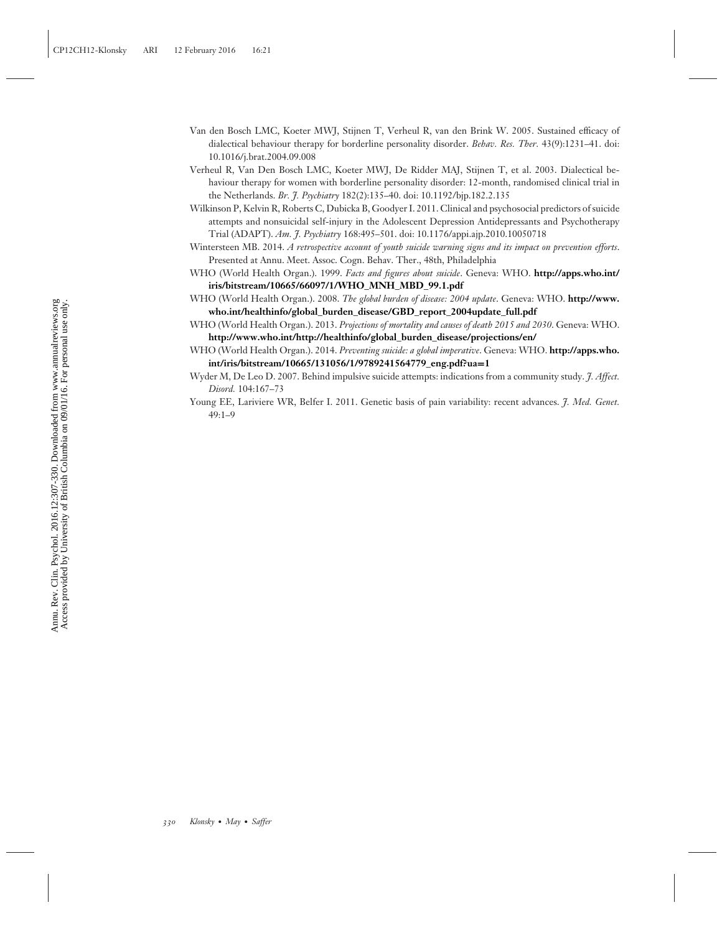- Van den Bosch LMC, Koeter MWJ, Stijnen T, Verheul R, van den Brink W. 2005. Sustained efficacy of dialectical behaviour therapy for borderline personality disorder. *Behav. Res. Ther.* 43(9):1231–41. doi: 10.1016/j.brat.2004.09.008
- Verheul R, Van Den Bosch LMC, Koeter MWJ, De Ridder MAJ, Stijnen T, et al. 2003. Dialectical behaviour therapy for women with borderline personality disorder: 12-month, randomised clinical trial in the Netherlands. *Br. J. Psychiatry* 182(2):135–40. doi: 10.1192/bjp.182.2.135
- Wilkinson P, Kelvin R, Roberts C, Dubicka B, Goodyer I. 2011. Clinical and psychosocial predictors of suicide attempts and nonsuicidal self-injury in the Adolescent Depression Antidepressants and Psychotherapy Trial (ADAPT). *Am. J. Psychiatry* 168:495–501. doi: 10.1176/appi.ajp.2010.10050718
- Wintersteen MB. 2014. *A retrospective account of youth suicide warning signs and its impact on prevention efforts*. Presented at Annu. Meet. Assoc. Cogn. Behav. Ther., 48th, Philadelphia
- WHO (World Health Organ.). 1999. *Facts and figures about suicide*. Geneva: WHO. **[http://apps.who.int/](http://apps.who.int/iris/bitstream/10665/66097/1/WHO_MNH_MBD_99.1.pdf) [iris/bitstream/10665/66097/1/WHO\\_MNH\\_MBD\\_99.1.pdf](http://apps.who.int/iris/bitstream/10665/66097/1/WHO_MNH_MBD_99.1.pdf)**
- WHO (World Health Organ.). 2008. *The global burden of disease: 2004 update*. Geneva: WHO. **[http://www.](http://www.who.int/healthinfo/global_burden_disease/GBD_report_2004update_full.pdf) [who.int/healthinfo/global\\_burden\\_disease/GBD\\_report\\_2004update\\_full.pdf](http://www.who.int/healthinfo/global_burden_disease/GBD_report_2004update_full.pdf)**
- WHO (World Health Organ.). 2013. *Projections of mortality and causes of death 2015 and 2030*. Geneva: WHO. **[http://www.who.int/http://healthinfo/global\\_burden\\_disease/projections/en/](http://www.who.int/healthinfo/global_burden_disease/projections/en/)**
- WHO (World Health Organ.). 2014. *Preventing suicide: a global imperative*. Geneva: WHO. **[http://apps.who.](http://apps.who.int/iris/bitstream/10665/131056/1/9789241564779_eng.pdf?ua=1) [int/iris/bitstream/10665/131056/1/9789241564779\\_eng.pdf?ua](http://apps.who.int/iris/bitstream/10665/131056/1/9789241564779_eng.pdf?ua=1)=1**
- Wyder M, De Leo D. 2007. Behind impulsive suicide attempts: indications from a community study. *J. Affect. Disord.* 104:167–73
- Young EE, Lariviere WR, Belfer I. 2011. Genetic basis of pain variability: recent advances. *J. Med. Genet.* 49:1–9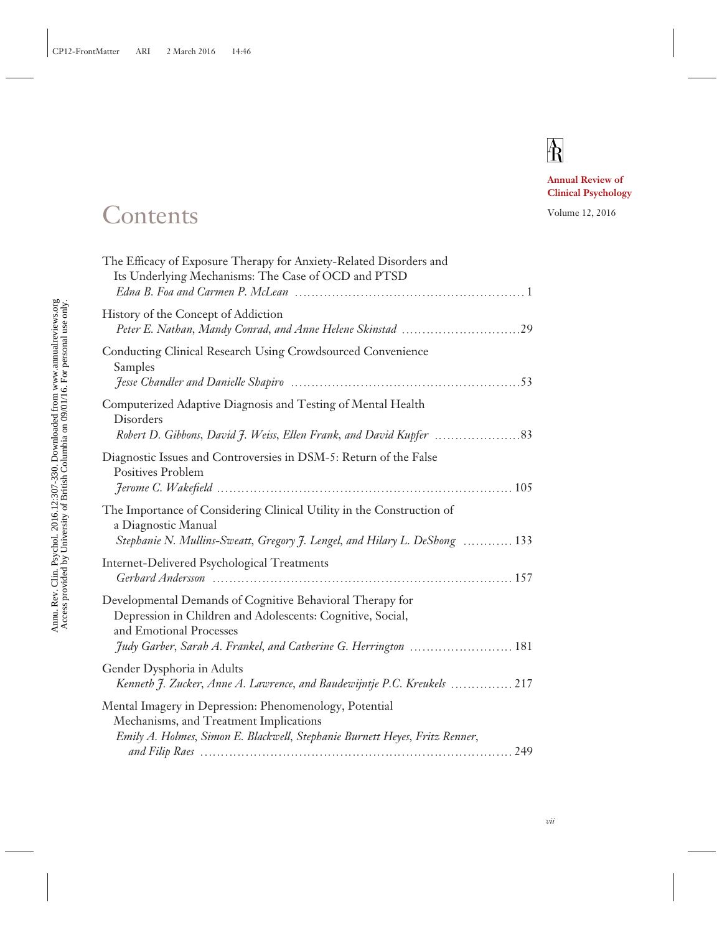# $\mathbf{\hat{R}}$

**Annual Review of Clinical Psychology**

| The Efficacy of Exposure Therapy for Anxiety-Related Disorders and<br>Its Underlying Mechanisms: The Case of OCD and PTSD                                                                                             |
|-----------------------------------------------------------------------------------------------------------------------------------------------------------------------------------------------------------------------|
| History of the Concept of Addiction<br>Peter E. Nathan, Mandy Conrad, and Anne Helene Skinstad 29                                                                                                                     |
| Conducting Clinical Research Using Crowdsourced Convenience<br>Samples                                                                                                                                                |
| Computerized Adaptive Diagnosis and Testing of Mental Health<br>Disorders                                                                                                                                             |
| Diagnostic Issues and Controversies in DSM-5: Return of the False<br><b>Positives Problem</b>                                                                                                                         |
| The Importance of Considering Clinical Utility in the Construction of<br>a Diagnostic Manual<br>Stephanie N. Mullins-Sweatt, Gregory J. Lengel, and Hilary L. DeShong  133                                            |
| <b>Internet-Delivered Psychological Treatments</b><br>Gerbard Andersson (157)                                                                                                                                         |
| Developmental Demands of Cognitive Behavioral Therapy for<br>Depression in Children and Adolescents: Cognitive, Social,<br>and Emotional Processes<br>Judy Garber, Sarah A. Frankel, and Catherine G. Herrington  181 |
| Gender Dysphoria in Adults<br>Kenneth J. Zucker, Anne A. Lawrence, and Baudewijntje P.C. Kreukels  217                                                                                                                |
| Mental Imagery in Depression: Phenomenology, Potential<br>Mechanisms, and Treatment Implications<br>Emily A. Holmes, Simon E. Blackwell, Stephanie Burnett Heyes, Fritz Renner,                                       |